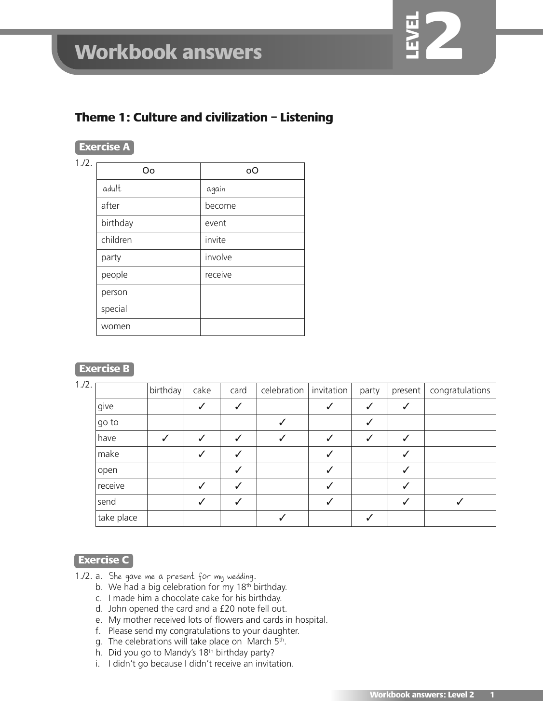

# **Exercise A**

| 1.72. | Οo       | <sub>o</sub> O |
|-------|----------|----------------|
|       | adult    | again          |
|       | after    | become         |
|       | birthday | event          |
|       | children | invite         |
|       | party    | involve        |
|       | people   | receive        |
|       | person   |                |
|       | special  |                |
|       | women    |                |

## **Exercise B**

| 1.12. |            | birthday | cake | card | celebration | invitation | party | present | congratulations |
|-------|------------|----------|------|------|-------------|------------|-------|---------|-----------------|
|       | give       |          | ✓    |      |             |            |       |         |                 |
|       | go to      |          |      |      |             |            |       |         |                 |
|       | have       |          |      |      |             |            |       |         |                 |
|       | make       |          |      |      |             |            |       |         |                 |
|       | open       |          |      |      |             |            |       |         |                 |
|       | receive    |          |      |      |             |            |       |         |                 |
|       | send       |          |      |      |             |            |       |         |                 |
|       | take place |          |      |      |             |            |       |         |                 |
|       |            |          |      |      |             |            |       |         |                 |

### **Exercise C**

- 1./2. a. She gave me a present for my wedding.
	- b. We had a big celebration for my  $18<sup>th</sup>$  birthday.
	- c. I made him a chocolate cake for his birthday.
	- d. John opened the card and a £20 note fell out.
	- e. My mother received lots of flowers and cards in hospital.
	- f. Please send my congratulations to your daughter.
	- g. The celebrations will take place on March 5<sup>th</sup>.
	- h. Did you go to Mandy's 18<sup>th</sup> birthday party?
	- i. I didn't go because I didn't receive an invitation.

**LEV EL**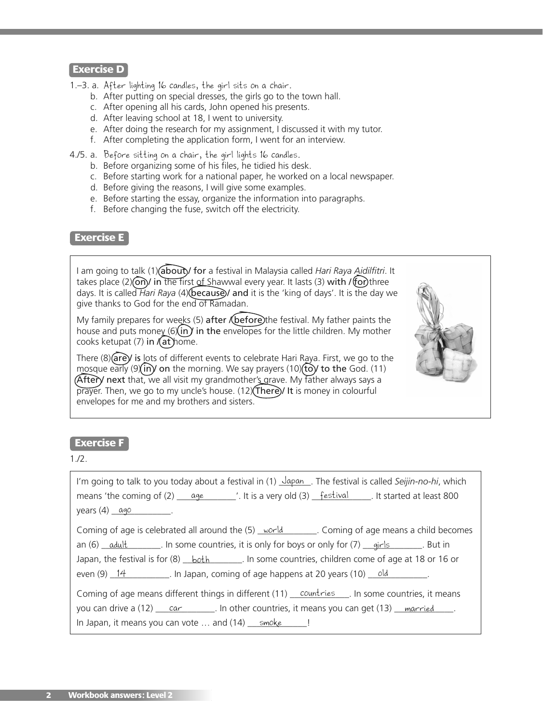- 1.–3. a. After lighting 16 candles, the girl sits on a chair.
	- b. After putting on special dresses, the girls go to the town hall.
	- c. After opening all his cards, John opened his presents.
	- d. After leaving school at 18, I went to university.
	- e. After doing the research for my assignment, I discussed it with my tutor.
	- f. After completing the application form, I went for an interview.
- 4./5. a. Before sitting on a chair, the girl lights 16 candles.
	- b. Before organizing some of his files, he tidied his desk.
	- c. Before starting work for a national paper, he worked on a local newspaper.
	- d. Before giving the reasons, I will give some examples.
	- e. Before starting the essay, organize the information into paragraphs.
	- f. Before changing the fuse, switch off the electricity.

### **Exercise E**

I am going to talk (1) (about) for a festival in Malaysia called *Hari Raya Aidilfitri*. It takes place  $(2)$  (on) in the first of Shawwal every year. It lasts (3) with / (for) three days. It is called *Hari Raya* (4) (because) and it is the 'king of days'. It is the day we give thanks to God for the end of Ramadan.

My family prepares for weeks (5)  $after$  (before) the festival. My father paints the house and puts money ( $6\overline{\text{sin}}$ ) in the envelopes for the little children. My mother cooks ketupat  $(7)$  in  $(at)$  home.

There  $(8)$  are) is lots of different events to celebrate Hari Raya. First, we go to the mosque early ( $9\overline{\text{in}}$ ) on the morning. We say prayers (10) (to) to the God. (11)  $(After)$  next that, we all visit my grandmother's grave. My father always says a prayer. Then, we go to my uncle's house. (12) (There) / It is money in colourful envelopes for me and my brothers and sisters.



### **Exercise F**

1./2.

| I'm going to talk to you today about a festival in $(1)$ $\frac{1}{\sqrt{2}}$ . The festival is called Seijin-no-hi, which   |
|------------------------------------------------------------------------------------------------------------------------------|
| means 'the coming of $(2)$ $\frac{age}{?}$ '. It is a very old $(3)$ $\frac{festival}{?}$ . It started at least 800          |
| years $(4)$ $\alpha$ go                                                                                                      |
| Coming of age is celebrated all around the $(5)$ world Coming of age means a child becomes                                   |
| an (6) $\alpha$ dult $\alpha$ . In some countries, it is only for boys or only for (7) $\alpha$ airls $\alpha$ . But in      |
| Japan, the festival is for $(8)$ <u>both</u> $\qquad \qquad$ . In some countries, children come of age at 18 or 16 or        |
| even $(9)$ 14 $\qquad \qquad$ In Japan, coming of age happens at 20 years (10) old                                           |
| Coming of age means different things in different (11) countries  In some countries, it means                                |
| you can drive a $(12)$ $\overline{\text{car}}$ in other countries, it means you can get $(13)$ $\overline{\text{married}}$ . |
| In Japan, it means you can vote $\dots$ and (14) $\_\text{smoke}$ $\_\cdot$ !                                                |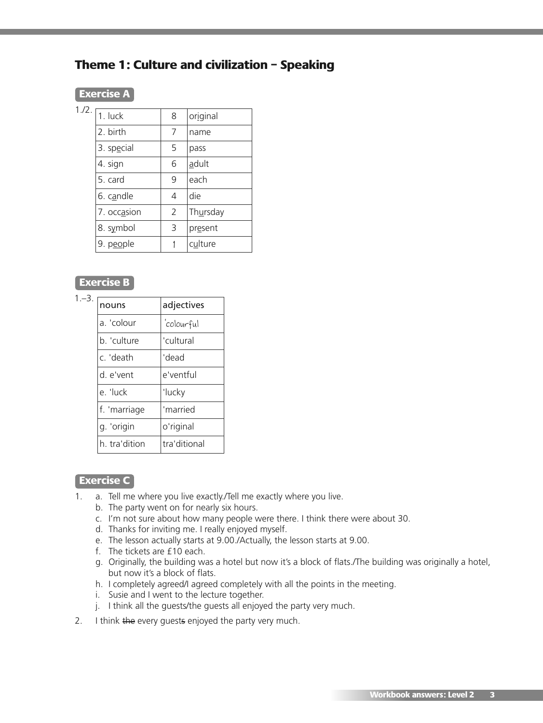# **Theme 1: Culture and civilization – Speaking**

## **Exercise A**

| $1.72.$ $\boxed{1.}$ luck | 8              | original |
|---------------------------|----------------|----------|
| 2. birth                  | 7              | name     |
| 3. special                | 5              | pass     |
| 4. sign                   | 6              | adult    |
| 5. card                   | 9              | each     |
| 6. candle                 | $\overline{4}$ | die      |
| 7. occasion               | $\overline{2}$ | Thursday |
| 8. symbol                 | 3              | present  |
| 9. people                 |                | culture  |
|                           |                |          |

# **Exercise B**

| $1 - 3$ . | nouns         | adjectives   |
|-----------|---------------|--------------|
|           | a. 'colour    | 'colourful   |
|           | b. 'culture   | 'cultural    |
|           | c. 'death     | 'dead        |
|           | d. e'vent     | e'ventful    |
|           | e. 'luck      | 'lucky       |
|           | f. 'marriage  | 'married     |
|           | g. 'origin    | o'riginal    |
|           | h. tra'dition | tra'ditional |
|           |               |              |

## **Exercise C**

- 1. a. Tell me where you live exactly./Tell me exactly where you live.
	- b. The party went on for nearly six hours.
	- c. I'm not sure about how many people were there. I think there were about 30.
	- d. Thanks for inviting me. I really enjoyed myself.
	- e. The lesson actually starts at 9.00./Actually, the lesson starts at 9.00.
	- f. The tickets are £10 each.
	- g. Originally, the building was a hotel but now it's a block of flats./The building was originally a hotel, but now it's a block of flats.
	- h. I completely agreed/I agreed completely with all the points in the meeting.
	- i. Susie and I went to the lecture together.
	- j. I think all the guests/the guests all enjoyed the party very much.
- 2. I think the every guests enjoyed the party very much.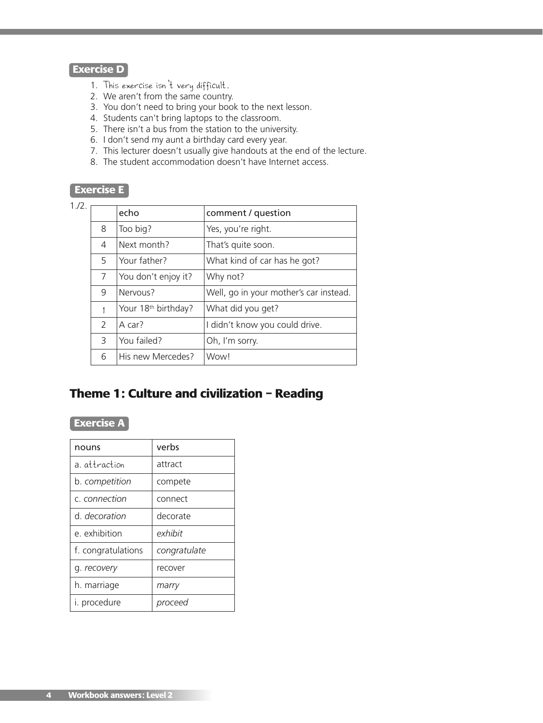- 1. This exercise isn't very difficult.
- 2. We aren't from the same country.
- 3. You don't need to bring your book to the next lesson.
- 4. Students can't bring laptops to the classroom.
- 5. There isn't a bus from the station to the university.
- 6. I don't send my aunt a birthday card every year.
- 7. This lecturer doesn't usually give handouts at the end of the lecture.
- 8. The student accommodation doesn't have Internet access.

## **Exercise E**

| 1.72. |               |                                 |                                        |
|-------|---------------|---------------------------------|----------------------------------------|
|       |               | echo                            | comment / question                     |
|       | 8             | Too big?                        | Yes, you're right.                     |
|       | 4             | Next month?                     | That's quite soon.                     |
|       | 5             | Your father?                    | What kind of car has he got?           |
|       | 7             | You don't enjoy it?             | Why not?                               |
|       | 9             | Nervous?                        | Well, go in your mother's car instead. |
|       |               | Your 18 <sup>th</sup> birthday? | What did you get?                      |
|       | $\mathcal{P}$ | A car?                          | I didn't know you could drive.         |
|       | 3             | You failed?                     | Oh, I'm sorry.                         |
|       | 6             | His new Mercedes?               | Wow!                                   |
|       |               |                                 |                                        |

# **Theme 1: Culture and civilization – Reading**

## **Exercise A**

| nouns              | verbs        |
|--------------------|--------------|
| a attraction       | attract      |
| b. competition     | compete      |
| c. connection      | connect      |
| d. decoration      | decorate     |
| e. exhibition      | exhibit      |
| f. congratulations | congratulate |
| g. recovery        | recover      |
| h. marriage        | marry        |
| i. procedure       | proceed      |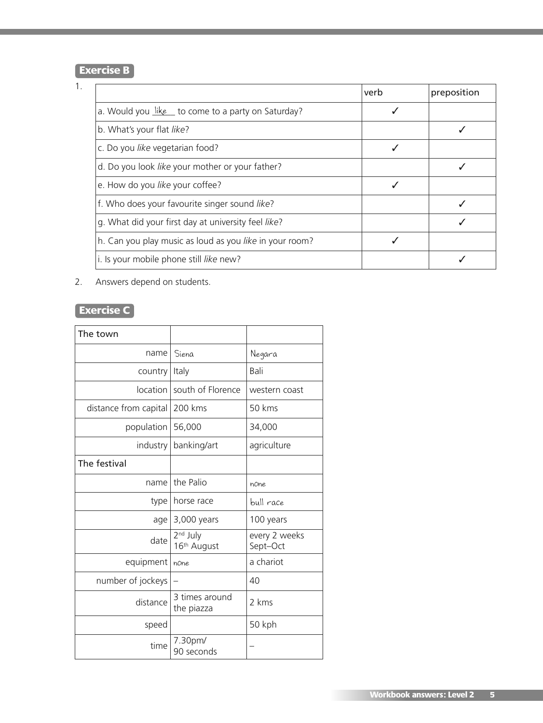# **Exercise B**

| ٦ |  |
|---|--|
|   |  |
|   |  |

|                                                         | verb | preposition |
|---------------------------------------------------------|------|-------------|
| a. Would you like to come to a party on Saturday?       |      |             |
| b. What's your flat like?                               |      |             |
| c. Do you like vegetarian food?                         |      |             |
| d. Do you look like your mother or your father?         |      |             |
| e. How do you like your coffee?                         |      |             |
| f. Who does your favourite singer sound like?           |      |             |
| g. What did your first day at university feel like?     |      |             |
| h. Can you play music as loud as you like in your room? |      |             |
| i. Is your mobile phone still like new?                 |      |             |

## 2. Answers depend on students.

# **Exercise C**

| The town              |                                     |                           |
|-----------------------|-------------------------------------|---------------------------|
| name                  | Siena                               | Negara                    |
| country               | Italy                               | Bali                      |
| location I            | south of Florence                   | western coast             |
| distance from capital | 200 kms                             | 50 kms                    |
| population            | 56,000                              | 34,000                    |
| industry              | banking/art                         | agriculture               |
| The festival          |                                     |                           |
| name                  | the Palio                           | none                      |
| type                  | horse race                          | bull race                 |
| age                   | 3,000 years                         | 100 years                 |
| date                  | 2 <sup>nd</sup> July<br>16th August | every 2 weeks<br>Sept-Oct |
| equipment             | none                                | a chariot                 |
| number of jockeys     |                                     | 40                        |
| distance              | 3 times around<br>the piazza        | 2 kms                     |
| speed                 |                                     | 50 kph                    |
| time                  | 7.30pm/<br>90 seconds               |                           |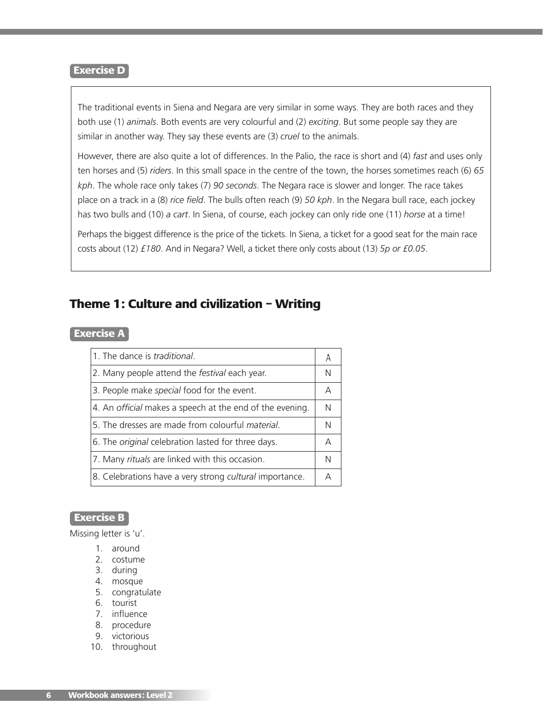The traditional events in Siena and Negara are very similar in some ways. They are both races and they both use (1) *animals*. Both events are very colourful and (2) *exciting*. But some people say they are similar in another way. They say these events are (3) *cruel* to the animals.

However, there are also quite a lot of differences. In the Palio, the race is short and (4) *fast* and uses only ten horses and (5) *riders*. In this small space in the centre of the town, the horses sometimes reach (6) *65 kph*. The whole race only takes (7) *90 seconds*. The Negara race is slower and longer. The race takes place on a track in a (8) *rice field*. The bulls often reach (9) *50 kph*. In the Negara bull race, each jockey has two bulls and (10) *a cart*. In Siena, of course, each jockey can only ride one (11) *horse* at a time!

Perhaps the biggest difference is the price of the tickets. In Siena, a ticket for a good seat for the main race costs about (12) *£180*. And in Negara? Well, a ticket there only costs about (13) *5p or £0.05*.

# **Theme 1: Culture and civilization – Writing**

#### **Exercise A**

| 1. The dance is <i>traditional</i> .                      |   |
|-----------------------------------------------------------|---|
| 2. Many people attend the <i>festival</i> each year.      | N |
| 3. People make special food for the event.                | А |
| 4. An official makes a speech at the end of the evening.  | N |
| 5. The dresses are made from colourful material.          | N |
| 6. The <i>original</i> celebration lasted for three days. | А |
| 7. Many rituals are linked with this occasion.            | N |
| 8. Celebrations have a very strong cultural importance.   | Д |

### **Exercise B**

Missing letter is 'u'.

- 1. around
- 2. costume
- 3. during
- 4. mosque
- 5. congratulate
- 6. tourist
- 7. influence
- 8. procedure
- 9. victorious
- 10. throughout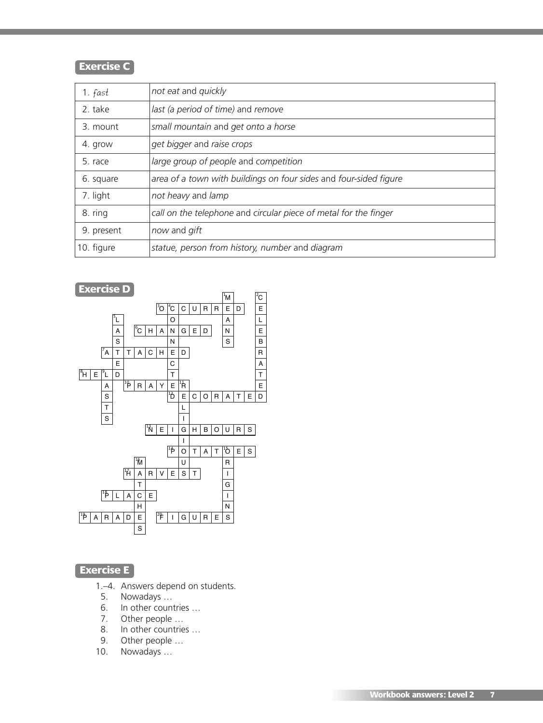# **Exercise C**

| 1. fast    | not eat and quickly                                               |
|------------|-------------------------------------------------------------------|
| 2. take    | last (a period of time) and remove                                |
| 3. mount   | small mountain and get onto a horse                               |
| 4. grow    | get bigger and raise crops                                        |
| 5. race    | large group of people and competition                             |
| 6. square  | area of a town with buildings on four sides and four-sided figure |
| 7. light   | not heavy and lamp                                                |
| 8. ring    | call on the telephone and circular piece of metal for the finger  |
| 9. present | now and gift                                                      |
| 10. figure | statue, person from history, number and diagram                   |



# **Exercise E**

1 **1 | PRAYER** 

- 1 .-4. Answers depend on students.
- 5. Nowadays …
- 6. In other countries …
- 7. Other people …
- 8. In other countries …
- 9. Other people …
- 10. Nowadays …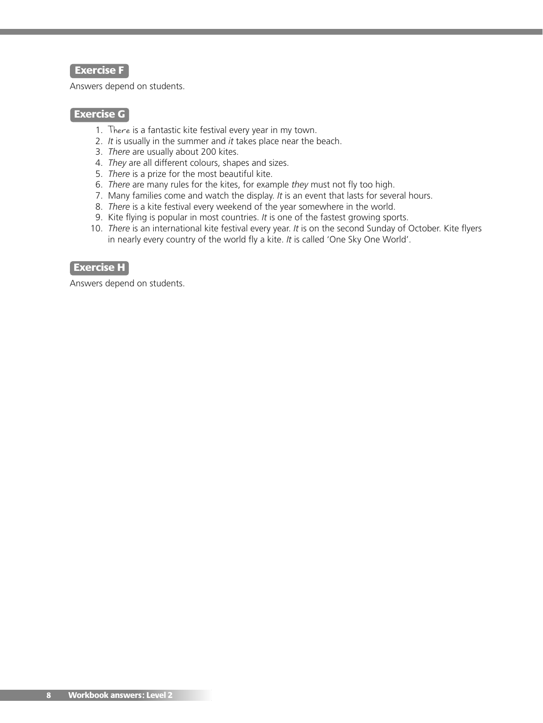### **Exercise F**

Answers depend on students.

### **Exercise G**

- 1. There is a fantastic kite festival every year in my town.
- 2. *It* is usually in the summer and *it* takes place near the beach.
- 3. *There* are usually about 200 kites.
- 4. *They* are all different colours, shapes and sizes.
- 5. *There* is a prize for the most beautiful kite.
- 6. *There* are many rules for the kites, for example *they* must not fly too high.
- 7. Many families come and watch the display. *It* is an event that lasts for several hours.
- 8. *There* is a kite festival every weekend of the year somewhere in the world.
- 9. Kite flying is popular in most countries. *It* is one of the fastest growing sports.
- 10. *There* is an international kite festival every year. *It* is on the second Sunday of October. Kite flyers in nearly every country of the world fly a kite. *It* is called 'One Sky One World'.

### **Exercise H**

Answers depend on students.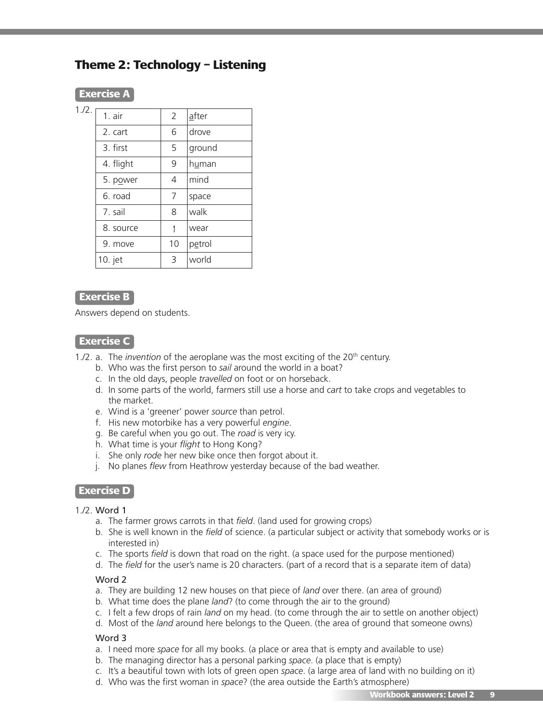# **Theme 2: Technology – Listening**

## **Exercise A**

1./2.

| 1. air    | 2  | after  |
|-----------|----|--------|
| 2. cart   | 6  | drove  |
| 3. first  | 5  | ground |
| 4. flight | 9  | human  |
| 5. power  | 4  | mind   |
| 6. road   | 7  | space  |
| 7. sail   | 8  | walk   |
| 8. source |    | wear   |
| 9. move   | 10 | petrol |
| 10. jet   | 3  | world  |

### **Exercise B**

Answers depend on students.

## **Exercise C**

1./2. a. The *invention* of the aeroplane was the most exciting of the 20<sup>th</sup> century.

- b. Who was the first person to *sail* around the world in a boat?
- c. In the old days, people *travelled* on foot or on horseback.
- d. In some parts of the world, farmers still use a horse and *cart* to take crops and vegetables to the market.
- e. Wind is a 'greener' power *source* than petrol.
- f. His new motorbike has a very powerful *engine*.
- g. Be careful when you go out. The *road* is very icy.
- h. What time is your *flight* to Hong Kong?
- i. She only *rode* her new bike once then forgot about it.
- j. No planes *flew* from Heathrow yesterday because of the bad weather.

## **Exercise D**

### 1./2. Word 1

- a. The farmer grows carrots in that *field*. (land used for growing crops)
- b. She is well known in the *field* of science. (a particular subject or activity that somebody works or is interested in)
- c. The sports *field* is down that road on the right. (a space used for the purpose mentioned)
- d. The *field* for the user's name is 20 characters. (part of a record that is a separate item of data)

#### Word 2

- a. They are building 12 new houses on that piece of *land* over there. (an area of ground)
- b. What time does the plane *land*? (to come through the air to the ground)
- c. I felt a few drops of rain *land* on my head. (to come through the air to settle on another object)
- d. Most of the *land* around here belongs to the Queen. (the area of ground that someone owns)

#### Word 3

- a. I need more *space* for all my books. (a place or area that is empty and available to use)
- b. The managing director has a personal parking *space*. (a place that is empty)
- c. It's a beautiful town with lots of green open *space*. (a large area of land with no building on it)
- d. Who was the first woman in *space*? (the area outside the Earth's atmosphere)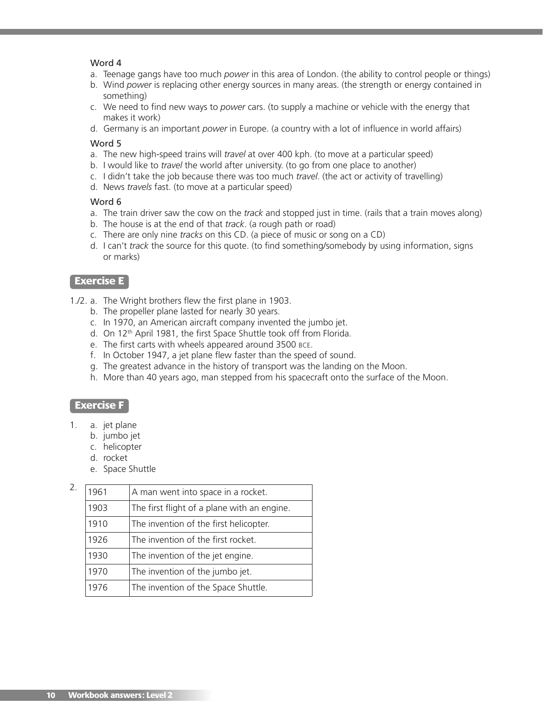#### Word 4

- a. Teenage gangs have too much *power* in this area of London. (the ability to control people or things)
- b. Wind *power* is replacing other energy sources in many areas. (the strength or energy contained in something)
- c. We need to find new ways to *power* cars. (to supply a machine or vehicle with the energy that makes it work)
- d. Germany is an important *power* in Europe. (a country with a lot of influence in world affairs)

#### Word 5

- a. The new high-speed trains will *travel* at over 400 kph. (to move at a particular speed)
- b. I would like to *travel* the world after university. (to go from one place to another)
- c. I didn't take the job because there was too much *travel*. (the act or activity of travelling)
- d. News *travels* fast. (to move at a particular speed)

#### Word 6

- a. The train driver saw the cow on the *track* and stopped just in time. (rails that a train moves along)
- b. The house is at the end of that *track*. (a rough path or road)
- c. There are only nine *tracks* on this CD. (a piece of music or song on a CD)
- d. I can't *track* the source for this quote. (to find something/somebody by using information, signs or marks)

## **Exercise E**

- 1./2. a. The Wright brothers flew the first plane in 1903.
	- b. The propeller plane lasted for nearly 30 years.
	- c. In 1970, an American aircraft company invented the jumbo jet.
	- d. On 12<sup>th</sup> April 1981, the first Space Shuttle took off from Florida.
	- e. The first carts with wheels appeared around 3500 BCE.
	- f. In October 1947, a jet plane flew faster than the speed of sound.
	- g. The greatest advance in the history of transport was the landing on the Moon.
	- h. More than 40 years ago, man stepped from his spacecraft onto the surface of the Moon.

### **Exercise F**

- 1. a. jet plane
	- b. jumbo jet
	- c. helicopter
	- d. rocket
	- e. Space Shuttle

| 2. | 1961 | A man went into space in a rocket.          |
|----|------|---------------------------------------------|
|    | 1903 | The first flight of a plane with an engine. |
|    | 1910 | The invention of the first helicopter.      |
|    | 1926 | The invention of the first rocket.          |
|    | 1930 | The invention of the jet engine.            |
|    | 1970 | The invention of the jumbo jet.             |
|    | 1976 | The invention of the Space Shuttle.         |
|    |      |                                             |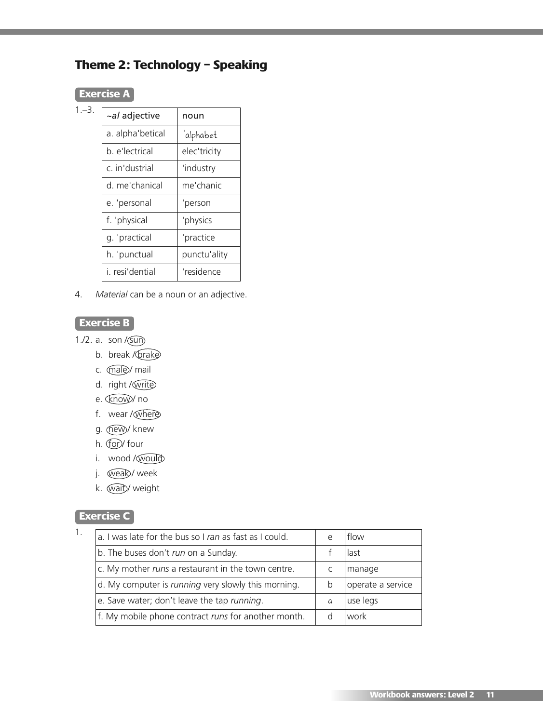# **Theme 2: Technology – Speaking**

# **Exercise A**

| $1 - 3$ . |                  |              |
|-----------|------------------|--------------|
|           | ~al adjective    | noun         |
|           | a. alpha'betical | 'alphabet    |
|           | b. e'lectrical   | elec'tricity |
|           | c. in'dustrial   | 'industry    |
|           | d. me'chanical   | me'chanic    |
|           | e. 'personal     | 'person      |
|           | f. 'physical     | 'physics     |
|           | g. 'practical    | 'practice    |
|           | h. 'punctual     | punctu'ality |
|           | i, resi'dential  | 'residence   |
|           |                  |              |

4. *Material* can be a noun or an adjective.

# **Exercise B**

- 1./2. a. son  $/(sun)$ 
	- b. break / brake
	- c. *(male)* mail
	- d. right / write
	- e. Know/ no
	- f. wear / where
	- g. (new)/ knew
	- h. Cor/four
	- i. wood / would
	- j. weak/week
	- k. wait/weight

# **Exercise C**

| a. I was late for the bus so I ran as fast as I could.     | $\epsilon$ | flow              |
|------------------------------------------------------------|------------|-------------------|
| b. The buses don't run on a Sunday.                        |            | last              |
| c. My mother runs a restaurant in the town centre.         |            | manage            |
| d. My computer is <i>running</i> very slowly this morning. | b          | operate a service |
| e. Save water; don't leave the tap running.                | a          | use legs          |
| f. My mobile phone contract runs for another month.        |            | work              |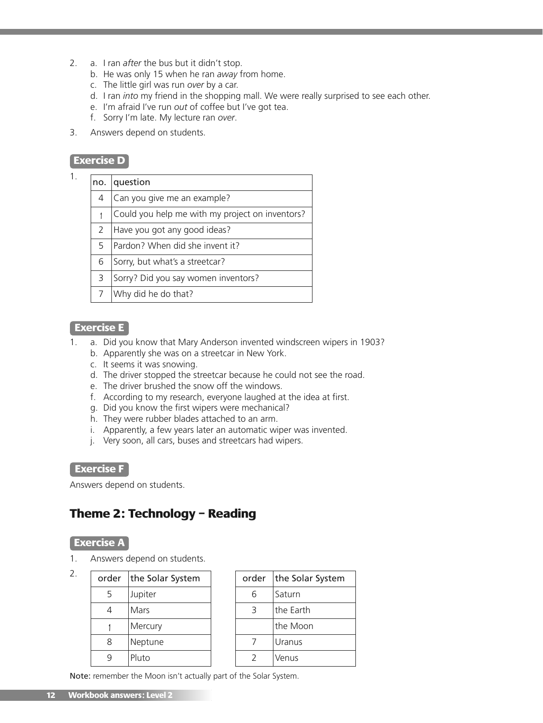- 2. a. I ran *after* the bus but it didn't stop.
	- b. He was only 15 when he ran *away* from home.
	- c. The little girl was run *over* by a car.
	- d. I ran *into* my friend in the shopping mall. We were really surprised to see each other.
	- e. I'm afraid I've run *out* of coffee but I've got tea.
	- f. Sorry I'm late. My lecture ran *over*.
- 3. Answers depend on students.

1.

| no.           | question                                        |
|---------------|-------------------------------------------------|
| 4             | Can you give me an example?                     |
|               | Could you help me with my project on inventors? |
| $\mathcal{P}$ | Have you got any good ideas?                    |
| 5             | Pardon? When did she invent it?                 |
| 6             | Sorry, but what's a streetcar?                  |
| 3             | Sorry? Did you say women inventors?             |
| 7             | Why did he do that?                             |

### **Exercise E**

- 1. a. Did you know that Mary Anderson invented windscreen wipers in 1903?
	- b. Apparently she was on a streetcar in New York.
	- c. It seems it was snowing.
	- d. The driver stopped the streetcar because he could not see the road.
	- e. The driver brushed the snow off the windows.
	- f. According to my research, everyone laughed at the idea at first.
	- g. Did you know the first wipers were mechanical?
	- h. They were rubber blades attached to an arm.
	- i. Apparently, a few years later an automatic wiper was invented.
	- j. Very soon, all cars, buses and streetcars had wipers.

### **Exercise F**

Answers depend on students.

# **Theme 2: Technology – Reading**

### **Exercise A**

2.

1. Answers depend on students.

| order | the Solar System |
|-------|------------------|
| 5     | Jupiter          |
|       | Mars             |
|       | Mercury          |
| 8     | Neptune          |
|       | Pluto            |

| order | the Solar System |
|-------|------------------|
| 6     | Saturn           |
| 3     | the Earth        |
|       | the Moon         |
|       | Uranus           |
|       | Venus            |

Note: remember the Moon isn't actually part of the Solar System.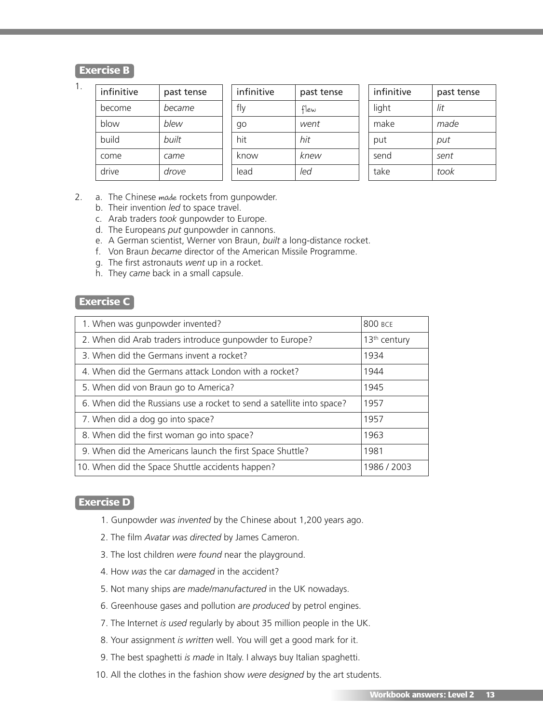## **Exercise B**

1.

| infinitive | past tense | infinitive | past tense | infinitive | past tense |
|------------|------------|------------|------------|------------|------------|
| become     | became     | fly        | flew       | light      | lit        |
| blow       | blew       | qo         | went       | make       | made       |
| build      | built      | hit        | hit        | put        | put        |
| come       | came       | know       | knew       | send       | sent       |
| drive      | drove      | lead       | led        | take       | took       |
|            |            |            |            |            |            |

- 2. a. The Chinese made rockets from gunpowder.
	- b. Their invention *led* to space travel.
	- c. Arab traders *took* gunpowder to Europe.
	- d. The Europeans *put* gunpowder in cannons.
	- e. A German scientist, Werner von Braun, *built* a long-distance rocket.
	- f. Von Braun *became* director of the American Missile Programme.
	- g. The first astronauts *went* up in a rocket.
	- h. They *came* back in a small capsule.

### **Exercise C**

| 1. When was gunpowder invented?                                       | 800 BCF                  |
|-----------------------------------------------------------------------|--------------------------|
| 2. When did Arab traders introduce gunpowder to Europe?               | 13 <sup>th</sup> century |
| 3. When did the Germans invent a rocket?                              | 1934                     |
| 4. When did the Germans attack London with a rocket?                  | 1944                     |
| 5. When did von Braun go to America?                                  | 1945                     |
| 6. When did the Russians use a rocket to send a satellite into space? | 1957                     |
| 7. When did a dog go into space?                                      | 1957                     |
| 8. When did the first woman go into space?                            | 1963                     |
| 9. When did the Americans launch the first Space Shuttle?             | 1981                     |
| 10. When did the Space Shuttle accidents happen?                      | 1986 / 2003              |

#### **Exercise D**

- 1. Gunpowder *was invented* by the Chinese about 1,200 years ago.
- 2. The film *Avatar was directed* by James Cameron.
- 3. The lost children *were found* near the playground.
- 4. How *was* the car *damaged* in the accident?
- 5. Not many ships *are made/manufactured* in the UK nowadays.
- 6. Greenhouse gases and pollution *are produced* by petrol engines.
- 7. The Internet *is used* regularly by about 35 million people in the UK.
- 8. Your assignment *is written* well. You will get a good mark for it.
- 9. The best spaghetti *is made* in Italy. I always buy Italian spaghetti.
- 10. All the clothes in the fashion show *were designed* by the art students.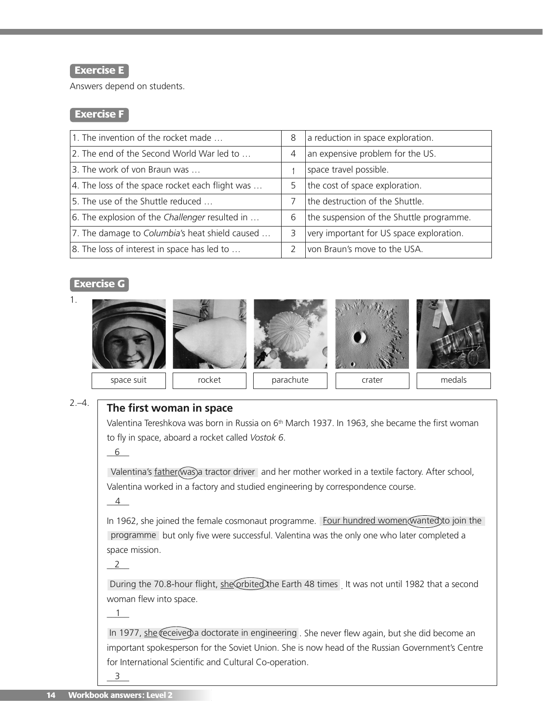## **Exercise E**

Answers depend on students.

## **Exercise F**

| 1. The invention of the rocket made             | 8 | a reduction in space exploration.        |
|-------------------------------------------------|---|------------------------------------------|
| 2. The end of the Second World War led to       | 4 | an expensive problem for the US.         |
| 3. The work of von Braun was                    |   | space travel possible.                   |
| 4. The loss of the space rocket each flight was | 5 | the cost of space exploration.           |
| 5. The use of the Shuttle reduced               |   | the destruction of the Shuttle.          |
| 6. The explosion of the Challenger resulted in  | 6 | the suspension of the Shuttle programme. |
| 7. The damage to Columbia's heat shield caused  | 3 | very important for US space exploration. |
| 8. The loss of interest in space has led to     |   | Ivon Braun's move to the USA.            |

## **Exercise G**



#### $2,-4.$ **The first woman in space**

Valentina Tereshkova was born in Russia on 6<sup>th</sup> March 1937. In 1963, she became the first woman to fly in space, aboard a rocket called *Vostok 6*.

 $\_6$ 

Valentina's <u>father</u> (was)a tractor driver and her mother worked in a textile factory. After school, Valentina worked in a factory and studied engineering by correspondence course.

 $\frac{4}{\sqrt{2}}$ 

In 1962, she joined the female cosmonaut programme. Eour hundred women wanted to join the programme but only five were successful. Valentina was the only one who later completed a space mission.

 $\overline{\phantom{2}}$ 

During the 70.8-hour flight, <u>she orbited</u> the Earth 48 times <sub>.</sub> It was not until 1982 that a second woman flew into space.

 $\frac{1}{\sqrt{1-\frac{1}{2}}}$ 

In 1977, <u>she</u> ceceived a doctorate in engineering . She never flew again, but she did become an important spokesperson for the Soviet Union. She is now head of the Russian Government's Centre for International Scientific and Cultural Co-operation.

 $\frac{3}{2}$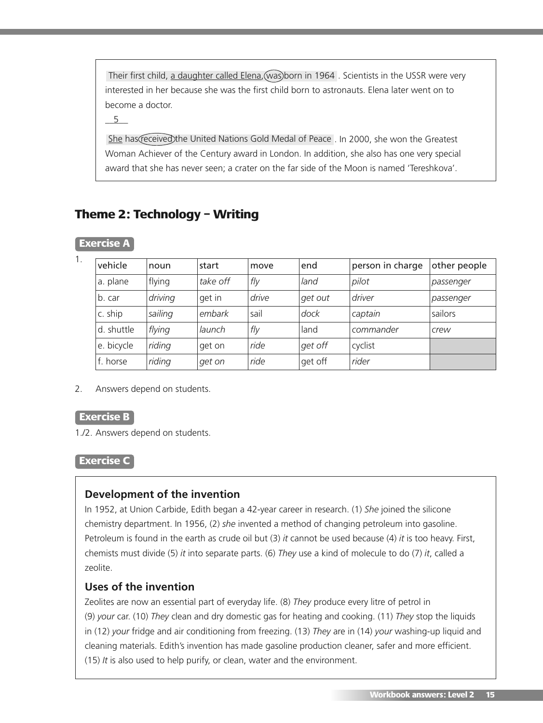Their first child, <u>a daughter called Elena,</u>(was)born in 1964 . Scientists in the USSR were very interested in her because she was the first child born to astronauts. Elena later went on to become a doctor.

 $\_$  5

She has (received the United Nations Gold Medal of Peace . In 2000, she won the Greatest Woman Achiever of the Century award in London. In addition, she also has one very special award that she has never seen; a crater on the far side of the Moon is named 'Tereshkova'.

# **Theme 2: Technology – Writing**

| 1. | vehicle    | noun    | start    | move  | end     | person in charge | other people |
|----|------------|---------|----------|-------|---------|------------------|--------------|
|    | a. plane   | flying  | take off | fly   | land    | pilot            | passenger    |
|    | b. car     | driving | get in   | drive | get out | <i>driver</i>    | passenger    |
|    | c. ship    | sailing | embark   | sail  | dock    | captain          | sailors      |
|    | d. shuttle | flying  | launch   | fly   | land    | commander        | <b>crew</b>  |
|    | e. bicycle | riding  | get on   | ride  | get off | cyclist          |              |
|    | f. horse   | riding  | get on   | ride  | get off | rider            |              |

# **Exercise A**

2. Answers depend on students.

## **Exercise B**

1./2. Answers depend on students.

### **Exercise C**

## **Development of the invention**

In 1952, at Union Carbide, Edith began a 42-year career in research. (1) *She* joined the silicone chemistry department. In 1956, (2) *she* invented a method of changing petroleum into gasoline. Petroleum is found in the earth as crude oil but (3) *it* cannot be used because (4) *it* is too heavy. First, chemists must divide (5) *it* into separate parts. (6) *They* use a kind of molecule to do (7) *it*, called a zeolite.

## **Uses of the invention**

Zeolites are now an essential part of everyday life. (8) *They* produce every litre of petrol in (9) *your* car. (10) *They* clean and dry domestic gas for heating and cooking. (11) *They* stop the liquids in (12) *your* fridge and air conditioning from freezing. (13) *They* are in (14) *your* washing-up liquid and cleaning materials. Edith's invention has made gasoline production cleaner, safer and more efficient. (15) *It* is also used to help purify, or clean, water and the environment.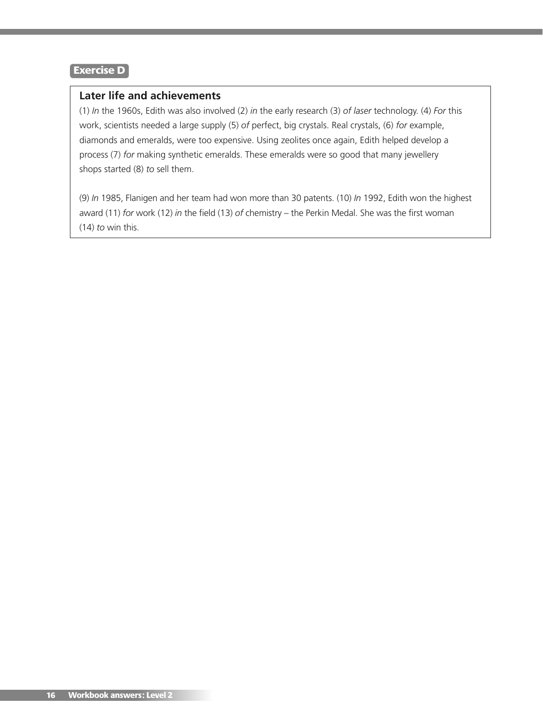## **Later life and achievements**

(1) *In* the 1960s, Edith was also involved (2) *in* the early research (3) *of laser* technology. (4) *For* this work, scientists needed a large supply (5) *of* perfect, big crystals. Real crystals, (6) *for* example, diamonds and emeralds, were too expensive. Using zeolites once again, Edith helped develop a process (7) *for* making synthetic emeralds. These emeralds were so good that many jewellery shops started (8) *to* sell them.

(9) *In* 1985, Flanigen and her team had won more than 30 patents. (10) *In* 1992, Edith won the highest award (11) *for* work (12) *in* the field (13) *of* chemistry – the Perkin Medal. She was the first woman (14) *to* win this.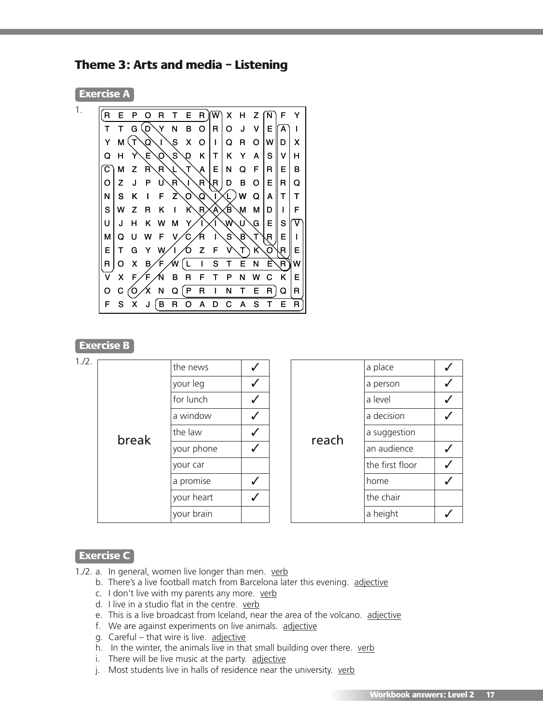**Theme 3: Arts and media – Listening**

| 1.<br>R | Е | P              | O            | R  | т             | Е  | R  | líw)         | X | н  | z | N | F  | Y |
|---------|---|----------------|--------------|----|---------------|----|----|--------------|---|----|---|---|----|---|
| т       | т | G              | D            | Y  | N             | В  | O  | R            | O | J  | v | Е | А  |   |
| Y       | М | Т              | Q            | -1 | $\mathcal{S}$ | X  | O  | I            | Q | R  | O | w | D  | X |
| Q       | н | Ÿ              | Е            | O  | $\mathbf{s}$  | Q  | Κ  | т            | Κ | Y  | A | S | v  | н |
| С       | м | z              | $\mathsf{R}$ | R  | J.            | Т  | А  | Е            | N | Q  | F | R | Е  | в |
| O       | Z | J              | P            | U  | R             | L  | .R | R            | D | в  | O | Е | R  | Q |
| N       | s | κ              | Π            | F  | Z             | O  | Q  | L            |   | W  | Q | A | т  | т |
| S       | W | z              | R            | κ  | L             | К  | R. | $\mathbf{A}$ | Έ | M  | М | D | ı  | F |
| U       | J | н              | κ            | w  | М             | Y. |    | ı            | W | U  | G | E | S  | v |
| м       | Q | U              | w            | F  | v             | С  | R  |              | S | B) | т | R | Е  | I |
| Е       | т | G              | Y            | W. |               | n  | z  | F            | ٧ | т  | κ | Ω | R  | E |
| R       | O | X              | B.           | F  | w             | L  | I  | s            | т | Е  | N | Е | R. | w |
| v       | X | F              | F            | 'N | в             | R  | F  | т            | P | N  | w | С | Κ  | E |
| O       | С | $\overline{O}$ |              | N  | Q             | P  | R  |              | N | т  | E | R | Q  | R |
| F       | S | x              | J            | в  | R             | O  | A  | D            | С | А  | S | т | Е  | R |

## **Exercise B**

| 1./2. |       | the news   |  |
|-------|-------|------------|--|
|       |       | your leg   |  |
|       |       | for lunch  |  |
|       |       | a window   |  |
|       | break | the law    |  |
|       |       | your phone |  |
|       |       | your car   |  |
|       |       | a promise  |  |
|       |       | your heart |  |
|       |       | your brain |  |

|       | a place         |  |
|-------|-----------------|--|
|       | a person        |  |
|       | a level         |  |
|       | a decision      |  |
| reach | a suggestion    |  |
|       | an audience     |  |
|       | the first floor |  |
|       | home            |  |
|       | the chair       |  |
|       | a height        |  |

# **Exercise C**

- 1./2. a. In general, women live longer than men. verb
	- b. There's a live football match from Barcelona later this evening. adjective
	- c. I don't live with my parents any more. verb
	- d. I live in a studio flat in the centre. verb
	- e. This is a live broadcast from Iceland, near the area of the volcano. adjective
	- f. We are against experiments on live animals. adjective
	- g. Careful that wire is live. adjective
	- h. In the winter, the animals live in that small building over there. verb
	- i. There will be live music at the party. adjective
	- j. Most students live in halls of residence near the university. verb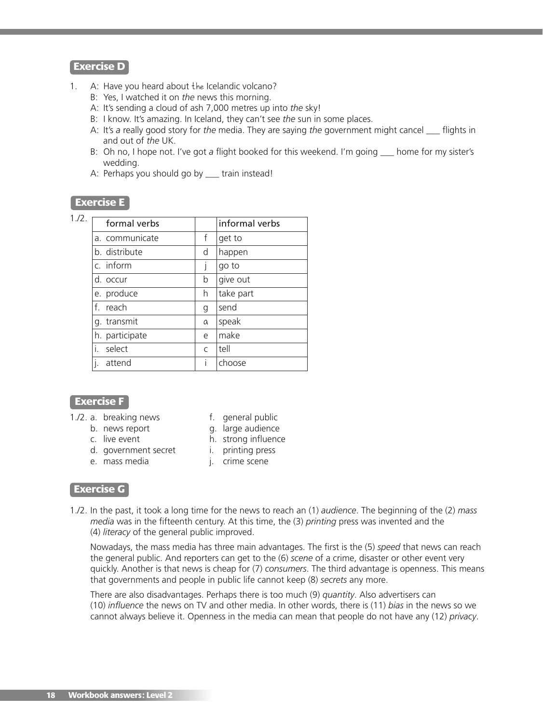- 1. A: Have you heard about the Icelandic volcano?
	- B: Yes, I watched it on *the* news this morning.
	- A: It's sending a cloud of ash 7,000 metres up into *the* sky!
	- B: I know. It's amazing. In Iceland, they can't see *the* sun in some places.
	- A: It's *a* really good story for *the* media. They are saying *the* government might cancel \_\_\_ flights in and out of *the* UK.
	- B: Oh no, I hope not. I've got *a* flight booked for this weekend. I'm going \_\_\_ home for my sister's wedding.
	- A: Perhaps you should go by \_\_\_ train instead!

## **Exercise E**

| $\sqrt{2}$ | formal verk   |
|------------|---------------|
|            | a. communicat |
|            |               |

| formal verbs   |   | informal verbs |
|----------------|---|----------------|
| a. communicate | f | get to         |
| b. distribute  | d | happen         |
| c. inform      |   | go to          |
| d. occur       | b | give out       |
| e. produce     | h | take part      |
| f. reach       | g | send           |
| g. transmit    | a | speak          |
| h. participate | e | make           |
| i.<br>select   | C | tell           |
| attend         | T | choose         |

## **Exercise F**

- 1./2. a. breaking news f. general public
	-
	-
	- d. government secret i. printing press
	- e. mass media i. crime scene
- - b. news report g. large audience
	- c. live event h. strong influence
		- -

### **Exercise G**

1./2. In the past, it took a long time for the news to reach an (1) *audience*. The beginning of the (2) *mass media* was in the fifteenth century. At this time, the (3) *printing* press was invented and the (4) *literacy* of the general public improved.

Nowadays, the mass media has three main advantages. The first is the (5) *speed* that news can reach the general public. And reporters can get to the (6) *scene* of a crime, disaster or other event very quickly. Another is that news is cheap for (7) *consumers*. The third advantage is openness. This means that governments and people in public life cannot keep (8) *secrets* any more.

There are also disadvantages. Perhaps there is too much (9) *quantity*. Also advertisers can (10) *influence* the news on TV and other media. In other words, there is (11) *bias* in the news so we cannot always believe it. Openness in the media can mean that people do not have any (12) *privacy*.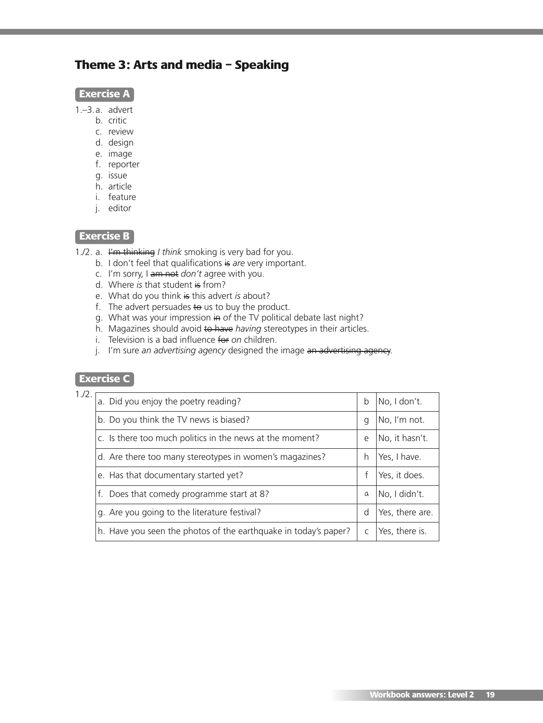# **Theme 3: Arts and media – Speaking**

|--|

1.–3.a. advert

- b. critic
- c. review
- d. design
- e. image
- f. reporter
- g. issue
- h. article
- i. feature
- j. editor

# **Exercise B**

1./2. a. I'm thinking *I think* smoking is very bad for you.

- b. I don't feel that qualifications is are very important.
- c. I'm sorry, I am not *don't* agree with you.
- d. Where *is* that student is from?
- e. What do you think is this advert *is* about?
- f. The advert persuades  $\leftrightarrow$  us to buy the product.
- g. What was your impression in of the TV political debate last night?
- h. Magazines should avoid to have *having* stereotypes in their articles.
- i. Television is a bad influence for *on* children.
- j. I'm sure *an advertising agency* designed the image an advertising agency.

# **Exercise C**

| 1.72. | a. Did you enjoy the poetry reading?                            | b | No, I don't.    |
|-------|-----------------------------------------------------------------|---|-----------------|
|       | b. Do you think the TV news is biased?                          | g | No, I'm not.    |
|       | c. Is there too much politics in the news at the moment?        | e | No, it hasn't.  |
|       | d. Are there too many stereotypes in women's magazines?         | h | Yes, I have.    |
|       | e. Has that documentary started yet?                            |   | Yes, it does.   |
|       | f. Does that comedy programme start at 8?                       | a | No, I didn't.   |
|       | g. Are you going to the literature festival?                    | d | Yes, there are. |
|       | h. Have you seen the photos of the earthquake in today's paper? |   | Yes, there is.  |
|       |                                                                 |   |                 |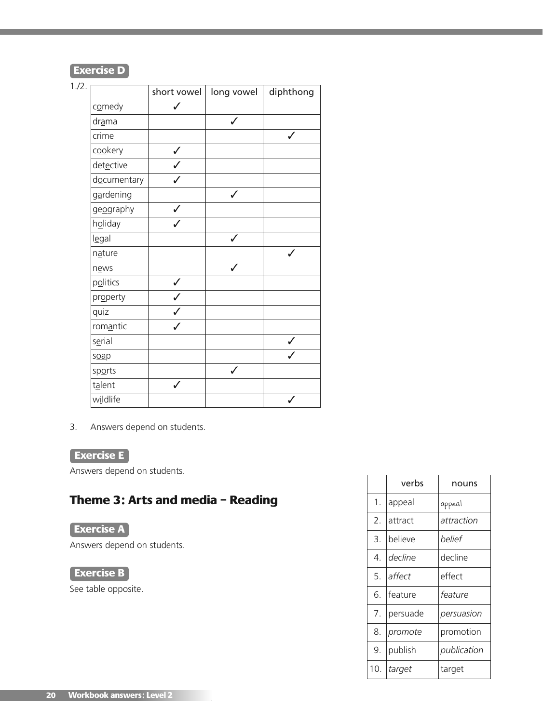| 1.72. |             | short vowel  | long vowel   | diphthong |
|-------|-------------|--------------|--------------|-----------|
|       | comedy      |              |              |           |
|       | drama       |              |              |           |
|       | crime       |              |              | ✓         |
|       | cookery     | $\checkmark$ |              |           |
|       | detective   |              |              |           |
|       | documentary |              |              |           |
|       | gardening   |              | $\checkmark$ |           |
|       | geography   |              |              |           |
|       | holiday     |              |              |           |
|       | legal       |              | $\checkmark$ |           |
|       | nature      |              |              |           |
|       | news        |              | $\checkmark$ |           |
|       | politics    | $\checkmark$ |              |           |
|       | property    |              |              |           |
|       | quiz        |              |              |           |
|       | romantic    |              |              |           |
|       | serial      |              |              |           |
|       | soap        |              |              |           |
|       | sports      |              | $\checkmark$ |           |
|       | talent      | $\checkmark$ |              |           |
|       | wildlife    |              |              |           |

3. Answers depend on students.

# **Exercise E**

Answers depend on students.

# **Theme 3: Arts and media – Reading**

# **Exercise A**

Answers depend on students.

# **Exercise B**

See table opposite.

|     | verbs    | nouns       |
|-----|----------|-------------|
| 1.  | appeal   | appeal      |
| 2.  | attract  | attraction  |
| 3.  | believe  | belief      |
| 4.  | decline  | decline     |
| 5.  | affect   | effect      |
| 6.  | feature  | feature     |
| 7.  | persuade | persuasion  |
| 8.  | promote  | promotion   |
| 9.  | publish  | publication |
| 10. | target   | target      |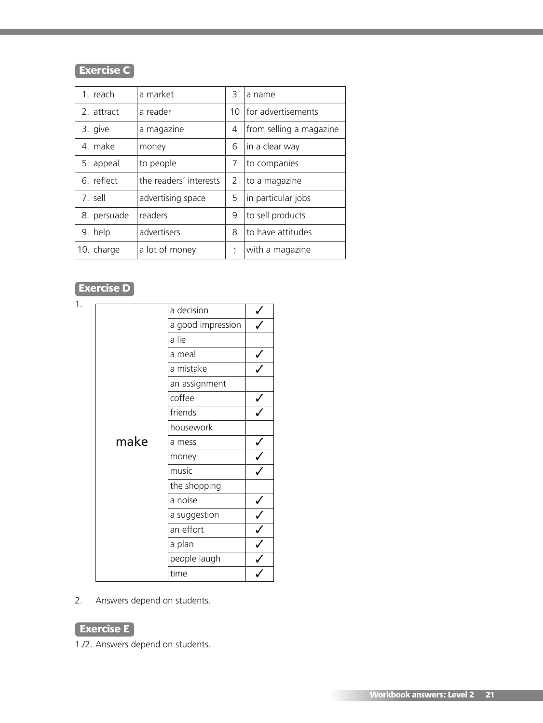# **Exercise C**

| 1 reach     | a market               | 3                            | a name             |
|-------------|------------------------|------------------------------|--------------------|
| 2. attract  | a reader               | 10                           | for advertisements |
| 3. give     | a magazine             | from selling a magazine<br>4 |                    |
| 4. make     | money                  | 6                            | in a clear way     |
| 5. appeal   | to people              | 7                            | to companies       |
| 6. reflect  | the readers' interests | 2                            | to a magazine      |
| 7. sell     | advertising space      | 5                            | in particular jobs |
| 8. persuade | readers                | 9                            | to sell products   |
| 9. help     | advertisers            | 8                            | to have attitudes  |
| 10. charge  | a lot of money         | with a magazine              |                    |

# **Exercise D**

|      | a decision        |                                |
|------|-------------------|--------------------------------|
|      | a good impression |                                |
|      | a lie             |                                |
|      | a meal            |                                |
|      | a mistake         |                                |
|      | an assignment     |                                |
|      | coffee            |                                |
|      | friends           |                                |
|      | housework         |                                |
| make | a mess            | $\checkmark$                   |
|      | money             | $\overline{\sqrt{\frac{1}{1}}$ |
|      | music             |                                |
|      | the shopping      |                                |
|      | a noise           |                                |
|      | a suggestion      |                                |
|      | an effort         |                                |
|      | a plan            |                                |
|      | people laugh      | プンププ                           |
|      | time              |                                |

2. Answers depend on students.

# **Exercise E**

1./2. Answers depend on students.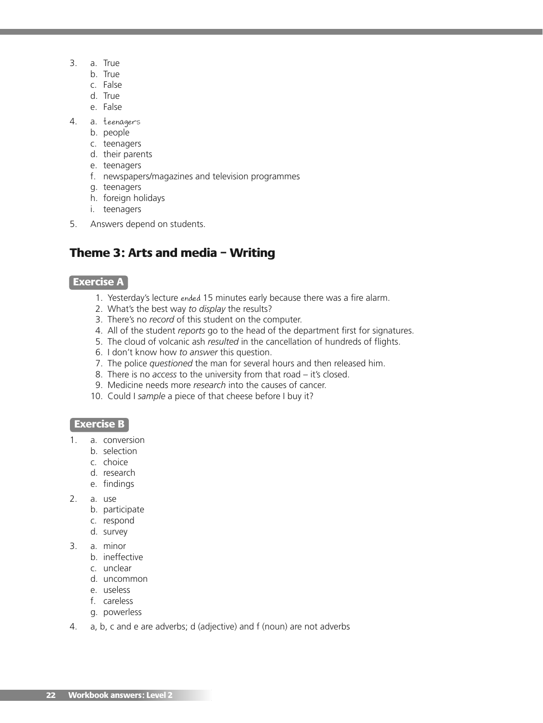- 3. a. True
	- b. True
	- c. False
	- d. True
	- e. False
- 4. a. teenagers
	- b. people
	- c. teenagers
	- d. their parents
	- e. teenagers
	- f. newspapers/magazines and television programmes
	- g. teenagers
	- h. foreign holidays
	- i. teenagers
- 5. Answers depend on students.

# **Theme 3: Arts and media – Writing**

## **Exercise A**

- 1. Yesterday's lecture ended 15 minutes early because there was a fire alarm.
- 2. What's the best way *to display* the results?
- 3. There's no *record* of this student on the computer.
- 4. All of the student *reports* go to the head of the department first for signatures.
- 5. The cloud of volcanic ash *resulted* in the cancellation of hundreds of flights.
- 6. I don't know how *to answer* this question.
- 7. The police *questioned* the man for several hours and then released him.
- 8. There is no *access* to the university from that road it's closed.
- 9. Medicine needs more *research* into the causes of cancer.
- 10. Could I *sample* a piece of that cheese before I buy it?

## **Exercise B**

- 1. a. conversion
	- b. selection
	- c. choice
	- d. research
	- e. findings
- 2. a. use
	- b. participate
	- c. respond
	- d. survey
- 3. a. minor
	- b. ineffective
	- c. unclear
	- d. uncommon
	- e. useless
	- f. careless
	- g. powerless
- 4. a, b, c and e are adverbs; d (adjective) and f (noun) are not adverbs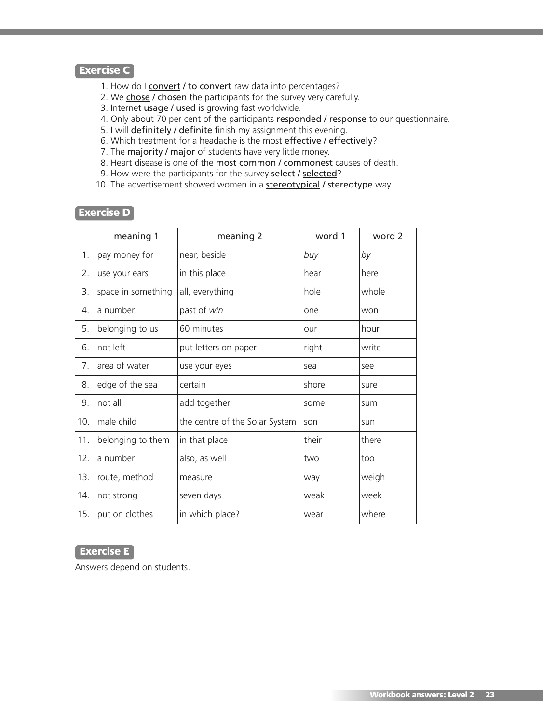## **Exercise C**

- 1. How do I convert / to convert raw data into percentages?
- 2. We chose / chosen the participants for the survey very carefully.
- 3. Internet **usage / used** is growing fast worldwide.
- 4. Only about 70 per cent of the participants responded / response to our questionnaire.
- 5. I will definitely / definite finish my assignment this evening.
- 6. Which treatment for a headache is the most effective / effectively?
- 7. The  $\frac{majority}{major}$  major of students have very little money.
- 8. Heart disease is one of the most common / commonest causes of death.
- 9. How were the participants for the survey select / selected?
- 10. The advertisement showed women in a **stereotypical** / stereotype way.

### **Exercise D**

|                  | meaning 1          | meaning 2                      | word 1 | word 2 |
|------------------|--------------------|--------------------------------|--------|--------|
| 1.               | pay money for      | near, beside                   | buy    | by     |
| 2.               | use your ears      | in this place                  | hear   | here   |
| 3.               | space in something | all, everything                | hole   | whole  |
| $\overline{4}$ . | a number           | past of win                    | one    | won    |
| 5.               | belonging to us    | 60 minutes                     | our    | hour   |
| 6.               | not left           | put letters on paper           | right  | write  |
| 7.               | area of water      | use your eyes                  | sea    | see    |
| 8.               | edge of the sea    | certain                        | shore  | sure   |
| 9.               | not all            | add together                   | some   | sum    |
| 10.              | male child         | the centre of the Solar System | son    | sun    |
| 11.              | belonging to them  | in that place                  | their  | there  |
| 12.              | a number           | also, as well                  | two    | too    |
| 13.              | route, method      | measure                        | way    | weigh  |
| 14.              | not strong         | seven days                     | weak   | week   |
| 15.              | put on clothes     | in which place?                | wear   | where  |

## **Exercise E**

Answers depend on students.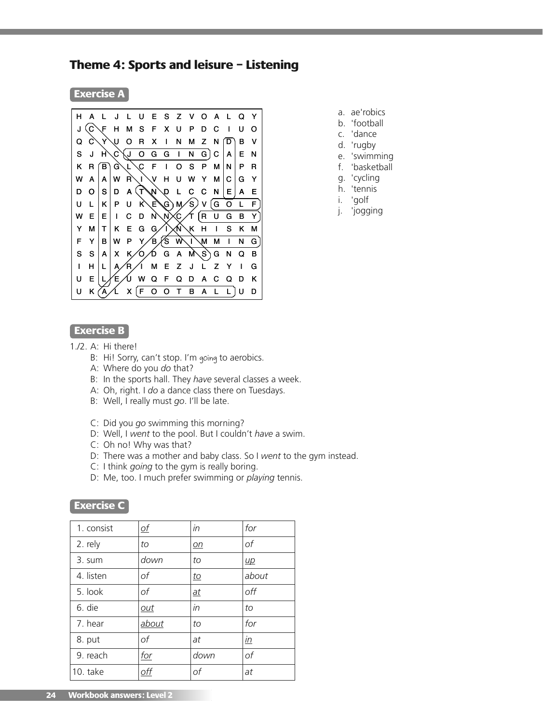# **Theme 4: Sports and leisure – Listening**

**Exercise A**



- a. ae'robics
- b. 'football
- c. 'dance
- d. 'rugby
- e. 'swimming f. 'basketball
- g. 'cycling
- h. 'tennis
- i. 'golf
- j. 'jogging
- 

#### **Exercise B**

- 1./2. A: Hi there!
	- B: Hi! Sorry, can't stop. I'm going to aerobics.
	- A: Where do you *do* that?
	- B: In the sports hall. They *have* several classes a week.
	- A: Oh, right. I *do* a dance class there on Tuesdays.
	- B: Well, I really must *go*. I'll be late.
	- C: Did you *go* swimming this morning?
	- D: Well, I *went* to the pool. But I couldn't *have* a swim.
	- C: Oh no! Why was that?
	- D: There was a mother and baby class. So I *went* to the gym instead.
	- C: I think *going* to the gym is really boring.
	- D: Me, too. I much prefer swimming or *playing* tennis.

### **Exercise C**

| 1. consist | <u>of</u>  | in               | for              |
|------------|------------|------------------|------------------|
| 2. rely    | to         | $\underline{on}$ | of               |
| 3. sum     | down       | to               | $\mu$            |
| 4. listen  | оf         | <u>to</u>        | about            |
| 5. look    | оf         | $\underline{at}$ | off              |
| 6. die     | out        | in               | to               |
| 7. hear    | about      | to               | for              |
| 8. put     | оf         | at               | $\underline{in}$ |
| 9. reach   | for        | down             | of               |
| 10. take   | <u>off</u> | of               | at               |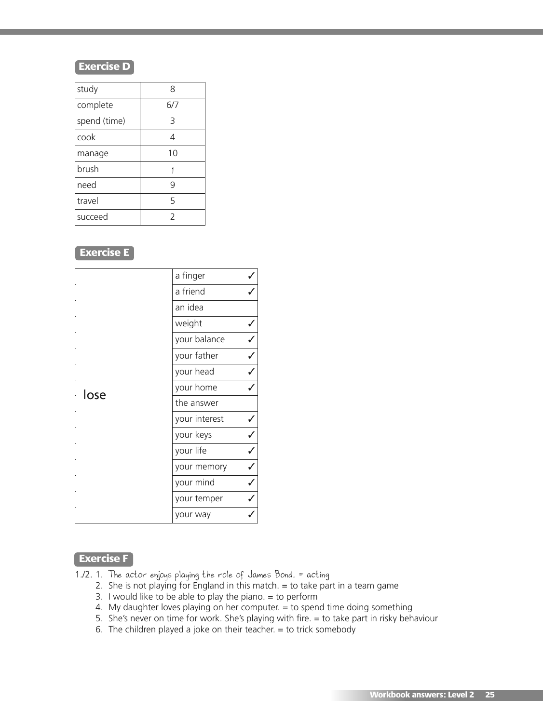| study        | 8   |
|--------------|-----|
| complete     | 6/7 |
| spend (time) | 3   |
| cook         | 4   |
| manage       | 10  |
| brush        |     |
| need         | 9   |
| travel       | 5   |
| succeed      | 2   |

# **Exercise E**

|      | a finger      |  |
|------|---------------|--|
|      | a friend      |  |
|      | an idea       |  |
|      | weight        |  |
|      | your balance  |  |
|      | your father   |  |
|      | your head     |  |
| lose | your home     |  |
|      | the answer    |  |
|      | your interest |  |
|      | your keys     |  |
|      | your life     |  |
|      | your memory   |  |
|      | your mind     |  |
|      | your temper   |  |
|      | your way      |  |

# **Exercise F**

- 1./2. 1. The actor enjoys playing the role of James Bond. = acting
	- 2. She is not playing for England in this match.  $=$  to take part in a team game
	- 3. I would like to be able to play the piano.  $=$  to perform
	- 4. My daughter loves playing on her computer. = to spend time doing something
	- 5. She's never on time for work. She's playing with fire. = to take part in risky behaviour
	- 6. The children played a joke on their teacher.  $=$  to trick somebody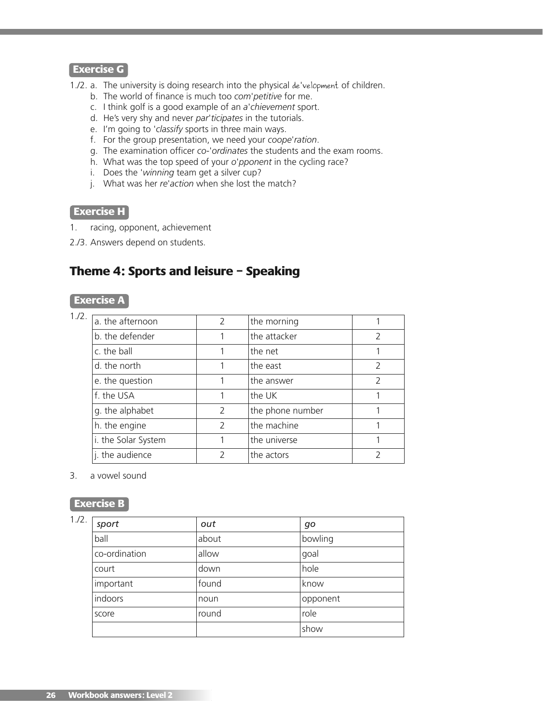## **Exercise G**

1./2. a. The university is doing research into the physical de'velopment of children.

- b. The world of finance is much too *com*'*petitive* for me.
- c. I think golf is a good example of an *a*'*chievement* sport.
- d. He's very shy and never *par*'*ticipates* in the tutorials.
- e. I'm going to '*classify* sports in three main ways.
- f. For the group presentation, we need your *coope*'*ration*.
- g. The examination officer *co-*'*ordinates* the students and the exam rooms.
- h. What was the top speed of your *o*'*pponent* in the cycling race?
- i. Does the '*winning* team get a silver cup?
- j. What was her *re*'*action* when she lost the match?

#### **Exercise H**

- 1. racing, opponent, achievement
- 2./3. Answers depend on students.

# **Theme 4: Sports and leisure – Speaking**

### **Exercise A**

| a. the afternoon    | $\mathfrak{D}$ | the morning      |               |
|---------------------|----------------|------------------|---------------|
| b. the defender     |                | the attacker     | $\mathcal{P}$ |
| c. the ball         |                | the net          |               |
| d. the north        |                | the east         | $\mathcal{P}$ |
| e. the question     |                | the answer       | $\mathcal{P}$ |
| f. the USA          |                | the UK           |               |
| g. the alphabet     | $\mathcal{P}$  | the phone number |               |
| h. the engine       | $\mathcal{L}$  | the machine      |               |
| i. the Solar System |                | the universe     |               |
| j. the audience     | $\mathcal{P}$  | the actors       | 7             |

#### 3. a vowel sound

#### **Exercise B**

#### 1./2.

| sport         | out   | go       |
|---------------|-------|----------|
| ball          | about | bowling  |
| co-ordination | allow | goal     |
| court         | down  | hole     |
| important     | found | know     |
| indoors       | noun  | opponent |
| score         | round | role     |
|               |       | show     |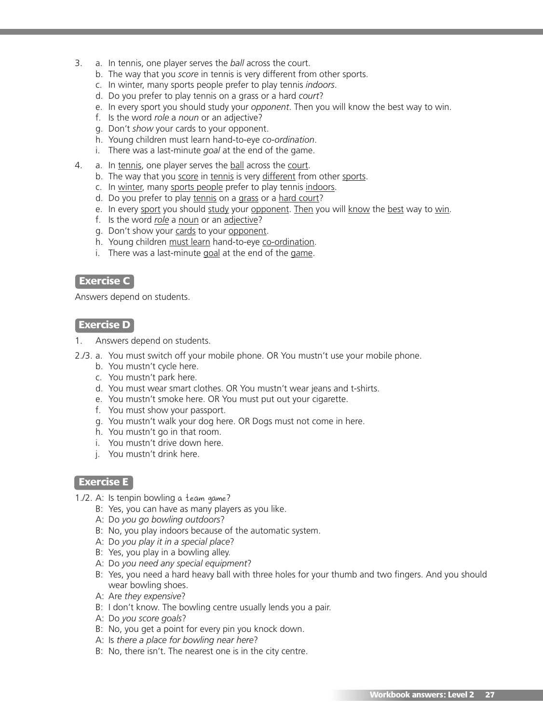- 3. a. In tennis, one player serves the *ball* across the court.
	- b. The way that you *score* in tennis is very different from other sports.
	- c. In winter, many sports people prefer to play tennis *indoors*.
	- d. Do you prefer to play tennis on a grass or a hard *court*?
	- e. In every sport you should study your *opponent*. Then you will know the best way to win.
	- f. Is the word *role* a *noun* or an adjective?
	- g. Don't *show* your cards to your opponent.
	- h. Young children must learn hand-to-eye *co-ordination*.
	- i. There was a last-minute *goal* at the end of the game.
- 4. a. In tennis, one player serves the ball across the court.
	- b. The way that you score in tennis is very different from other sports.
	- c. In winter, many sports people prefer to play tennis indoors.
	- d. Do you prefer to play tennis on a grass or a hard court?
	- e. In every sport you should study your opponent. Then you will know the best way to win.
	- f. Is the word *role* a noun or an adjective?
	- g. Don't show your cards to your opponent.
	- h. Young children must learn hand-to-eye co-ordination.
	- i. There was a last-minute goal at the end of the game.

### **Exercise C**

Answers depend on students.

### **Exercise D**

1. Answers depend on students.

- 2./3. a. You must switch off your mobile phone. OR You mustn't use your mobile phone.
	- b. You mustn't cycle here.
	- c. You mustn't park here.
	- d. You must wear smart clothes. OR You mustn't wear jeans and t-shirts.
	- e. You mustn't smoke here. OR You must put out your cigarette.
	- f. You must show your passport.
	- g. You mustn't walk your dog here. OR Dogs must not come in here.
	- h. You mustn't go in that room.
	- i. You mustn't drive down here.
	- j. You mustn't drink here.

## **Exercise E**

- 1./2. A: Is tenpin bowling a team game?
	- B: Yes, you can have as many players as you like.
	- A: Do *you go bowling outdoors*?
	- B: No, you play indoors because of the automatic system.
	- A: Do *you play it in a special place*?
	- B: Yes, you play in a bowling alley.
	- A: Do *you need any special equipment*?
	- B: Yes, you need a hard heavy ball with three holes for your thumb and two fingers. And you should wear bowling shoes.
	- A: Are *they expensive*?
	- B: I don't know. The bowling centre usually lends you a pair.
	- A: Do *you score goals*?
	- B: No, you get a point for every pin you knock down.
	- A: Is *there a place for bowling near here*?
	- B: No, there isn't. The nearest one is in the city centre.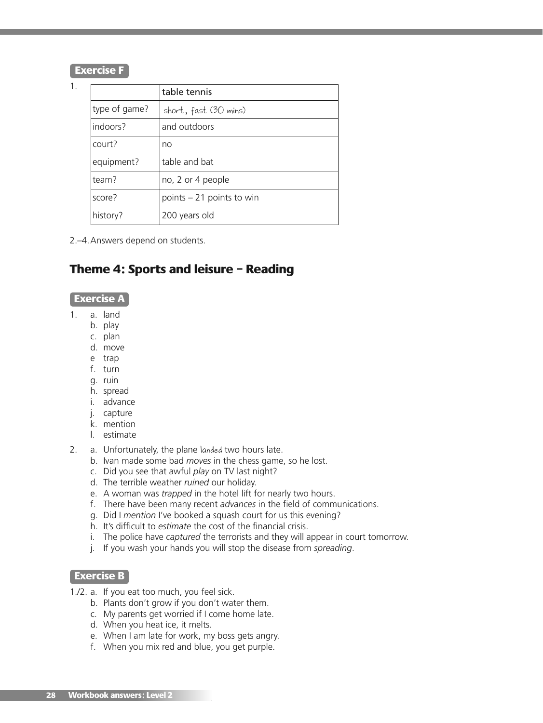### **Exercise F**

1.

|               | table tennis               |
|---------------|----------------------------|
| type of game? | short, fast (30 mins)      |
| indoors?      | and outdoors               |
| court?        | no                         |
| equipment?    | table and bat              |
| team?         | no, 2 or 4 people          |
| score?        | points $-21$ points to win |
| history?      | 200 years old              |

2.–4.Answers depend on students.

# **Theme 4: Sports and leisure – Reading**

#### **Exercise A**

- 1. a. land
	- b. play
	- c. plan
	- d. move
	- e trap
	- f. turn
	- g. ruin
	- h. spread
	- i. advance
	- j. capture
	- k. mention
	- l. estimate
- 2. a. Unfortunately, the plane landed two hours late.
	- b. Ivan made some bad *moves* in the chess game, so he lost.
	- c. Did you see that awful *play* on TV last night?
	- d. The terrible weather *ruined* our holiday.
	- e. A woman was *trapped* in the hotel lift for nearly two hours.
	- f. There have been many recent *advances* in the field of communications.
	- g. Did I *mention* I've booked a squash court for us this evening?
	- h. It's difficult to *estimate* the cost of the financial crisis.
	- i. The police have *captured* the terrorists and they will appear in court tomorrow.
	- j. If you wash your hands you will stop the disease from *spreading*.

### **Exercise B**

- 1./2. a. If you eat too much, you feel sick.
	- b. Plants don't grow if you don't water them.
	- c. My parents get worried if I come home late.
	- d. When you heat ice, it melts.
	- e. When I am late for work, my boss gets angry.
	- f. When you mix red and blue, you get purple.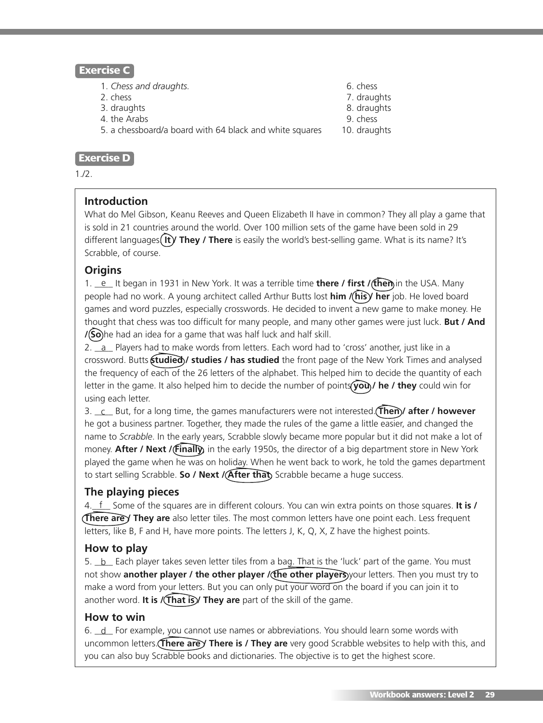## **Exercise C**

- 1. *Chess and draughts.* 6. chess
- 2. chess 7. draughts
- 3. draughts 8. draughts
- 4. the Arabs 9. chess
- 5. a chessboard/a board with 64 black and white squares 10. draughts

## **Exercise D**

 $1.12.$ 

# **Introduction**

What do Mel Gibson, Keanu Reeves and Queen Elizabeth II have in common? They all play a game that is sold in 21 countries around the world. Over 100 million sets of the game have been sold in 29 different languages (It) They / There is easily the world's best-selling game. What is its name? It's Scrabble, of course.

# **Origins**

1. e lt began in 1931 in New York. It was a terrible time **there / first /(then**) in the USA. Many people had no work. A young architect called Arthur Butts lost **him / his / her** job. He loved board games and word puzzles, especially crosswords. He decided to invent a new game to make money. He thought that chess was too difficult for many people, and many other games were just luck. **But / And /(So)** he had an idea for a game that was half luck and half skill.

2. \_a\_ Players had to make words from letters. Each word had to 'cross' another, just like in a crossword. Butts **studied / studies / has studied** the front page of the New York Times and analysed the frequency of each of the 26 letters of the alphabet. This helped him to decide the quantity of each letter in the game. It also helped him to decide the number of points **you / he / they** could win for using each letter.

3. \_\_\_\_ But, for a long time, the games manufacturers were not interested. **Then / after / however** c he got a business partner. Together, they made the rules of the game a little easier, and changed the name to *Scrabble*. In the early years, Scrabble slowly became more popular but it did not make a lot of money. **After / Next / Finally**, in the early 1950s, the director of a big department store in New York played the game when he was on holiday. When he went back to work, he told the games department to start selling Scrabble. **So / Next / After that**, Scrabble became a huge success.

# **The playing pieces**

4.\_f\_\_ Some of the squares are in different colours. You can win extra points on those squares. **It is / There are** *y* **They are** also letter tiles. The most common letters have one point each. Less frequent letters, like B, F and H, have more points. The letters J, K, Q, X, Z have the highest points.

# **How to play**

5. <u>\_b \_</u> Each player takes seven letter tiles from a bag. That is the 'luck' part of the game. You must not show **another player / the other player / the other players** your letters. Then you must try to make a word from your letters. But you can only put your word on the board if you can join it to another word. **It is / That is / They are** part of the skill of the game.

## **How to win**

6.  $\perp$  For example, you cannot use names or abbreviations. You should learn some words with uncommon letters. **There are / There is / They are** very good Scrabble websites to help with this, and you can also buy Scrabble books and dictionaries. The objective is to get the highest score.

- 
- 
- 
-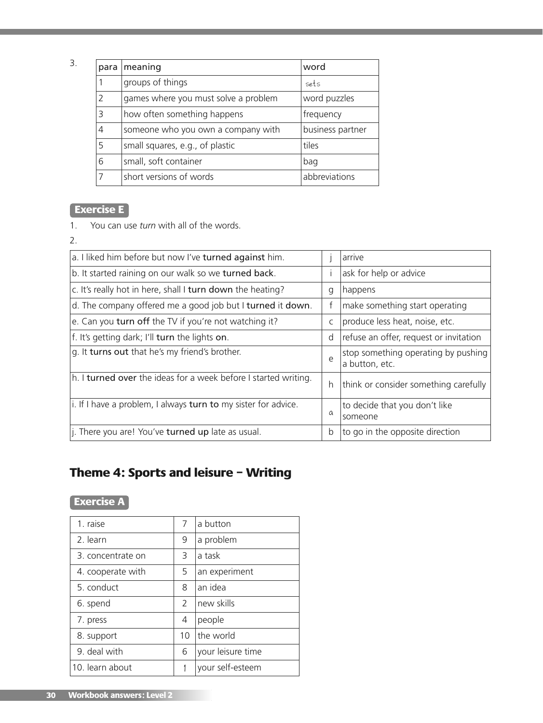3.

| para           | meaning                              | word             |
|----------------|--------------------------------------|------------------|
|                | groups of things                     | sets             |
| 2              | games where you must solve a problem | word puzzles     |
| 3              | how often something happens          | frequency        |
| $\overline{4}$ | someone who you own a company with   | business partner |
| 5              | small squares, e.g., of plastic      | tiles            |
| 6              | small, soft container                | bag              |
| 7              | short versions of words              | abbreviations    |

# **Exercise E**

1. You can use *turn* with all of the words.

2.

| a. I liked him before but now I've turned against him.          |            | arrive                                                |
|-----------------------------------------------------------------|------------|-------------------------------------------------------|
| b. It started raining on our walk so we turned back.            |            | ask for help or advice                                |
| c. It's really hot in here, shall I turn down the heating?      | q          | happens                                               |
| d. The company offered me a good job but I turned it down.      | f          | make something start operating                        |
| e. Can you turn off the TV if you're not watching it?           | C          | produce less heat, noise, etc.                        |
| f. It's getting dark; I'll turn the lights on.                  | d          | refuse an offer, request or invitation                |
| g. It turns out that he's my friend's brother.                  | $\epsilon$ | stop something operating by pushing<br>a button, etc. |
| h. I turned over the ideas for a week before I started writing. | h          | think or consider something carefully                 |
| i. If I have a problem, I always turn to my sister for advice.  | a          | to decide that you don't like<br>someone              |
| j. There you are! You've turned up late as usual.               | b          | to go in the opposite direction                       |

# **Theme 4: Sports and leisure – Writing**

# **Exercise A**

| 1. raise          | 7             | a button          |
|-------------------|---------------|-------------------|
| 2. learn          | 9             | a problem         |
| 3. concentrate on | 3             | a task            |
| 4. cooperate with | 5             | an experiment     |
| 5. conduct        | 8             | an idea           |
| 6. spend          | $\mathcal{P}$ | new skills        |
| 7. press          | 4             | people            |
| 8. support        | 10            | the world         |
| 9. deal with      | 6             | your leisure time |
| 10. learn about   |               | your self-esteem  |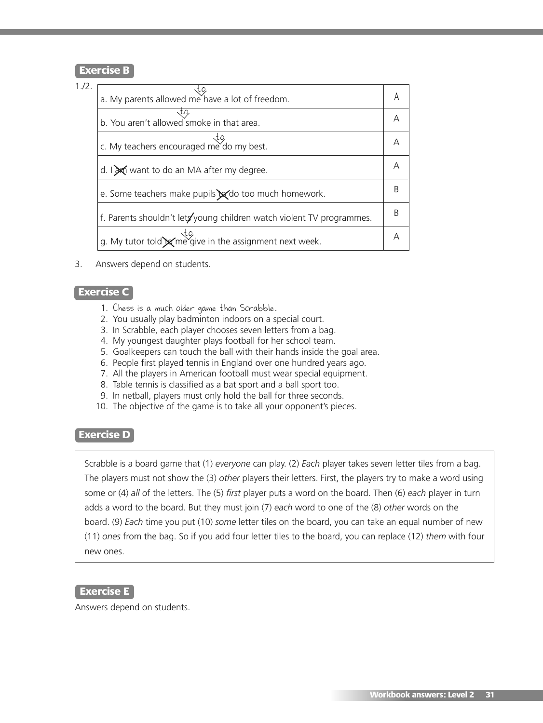### **Exercise B**

### 1./2.

| a. My parents allowed me have a lot of freedom.                       |  |
|-----------------------------------------------------------------------|--|
| b. You aren't allowed smoke in that area.                             |  |
| c. My teachers encouraged me do my best.                              |  |
| d. $\log$ want to do an MA after my degree.                           |  |
| e. Some teachers make pupils x do too much homework.                  |  |
| f. Parents shouldn't lets young children watch violent TV programmes. |  |
| g. My tutor told $\times$ me give in the assignment next week.        |  |

3. Answers depend on students.

### **Exercise C**

- 1. Chess is a much older game than Scrabble.
- 2. You usually play badminton indoors on a special court.
- 3. In Scrabble, each player chooses seven letters from a bag.
- 4. My youngest daughter plays football for her school team.
- 5. Goalkeepers can touch the ball with their hands inside the goal area.
- 6. People first played tennis in England over one hundred years ago.
- 7. All the players in American football must wear special equipment.
- 8. Table tennis is classified as a bat sport and a ball sport too.
- 9. In netball, players must only hold the ball for three seconds.
- 10. The objective of the game is to take all your opponent's pieces.

### **Exercise D**

Scrabble is a board game that (1) *everyone* can play. (2) *Each* player takes seven letter tiles from a bag. The players must not show the (3) *other* players their letters. First, the players try to make a word using some or (4) *all* of the letters. The (5) *first* player puts a word on the board. Then (6) *each* player in turn adds a word to the board. But they must join (7) *each* word to one of the (8) *other* words on the board. (9) *Each* time you put (10) *some* letter tiles on the board, you can take an equal number of new (11) *ones* from the bag. So if you add four letter tiles to the board, you can replace (12) *them* with four new ones.

### **Exercise E**

Answers depend on students.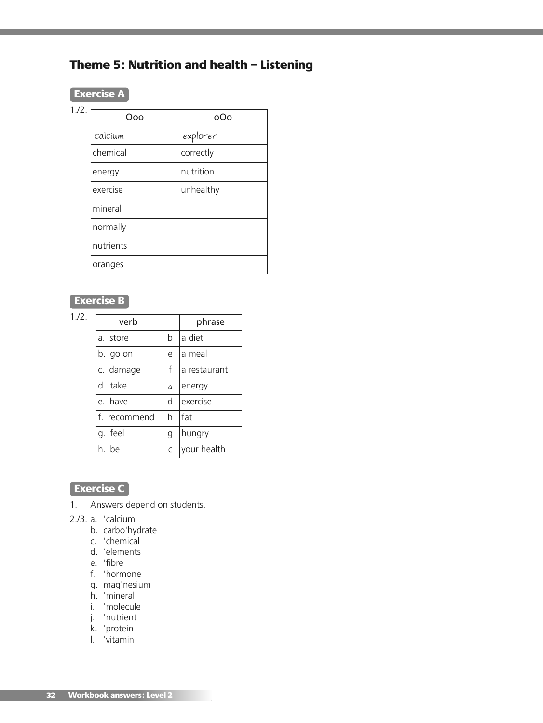# **Theme 5: Nutrition and health – Listening**

| ٠ |  |
|---|--|

 $1.72.$ 

| റഹ        | റററ       |
|-----------|-----------|
| calcium   | explorer  |
| chemical  | correctly |
| energy    | nutrition |
| exercise  | unhealthy |
| mineral   |           |
| normally  |           |
| nutrients |           |
| oranges   |           |

# **Exercise B**

1./2.

| verb         |   | phrase       |
|--------------|---|--------------|
| a. store     | b | a diet       |
| b. go on     | e | a meal       |
| c. damage    | f | a restaurant |
| d. take      | a | energy       |
| e. have      | d | exercise     |
| f. recommend | h | fat          |
| g. feel      | q | hungry       |
| h he         | C | your health  |

# **Exercise C**

- 1. Answers depend on students.
- 2./3. a. 'calcium
	- b. carbo'hydrate
	- c. 'chemical
	- d. 'elements
	- e. 'fibre
	- f. 'hormone
	- g. mag'nesium
	- h. 'mineral
	- i. 'molecule
	- j. 'nutrient
	- k. 'protein
	- l. 'vitamin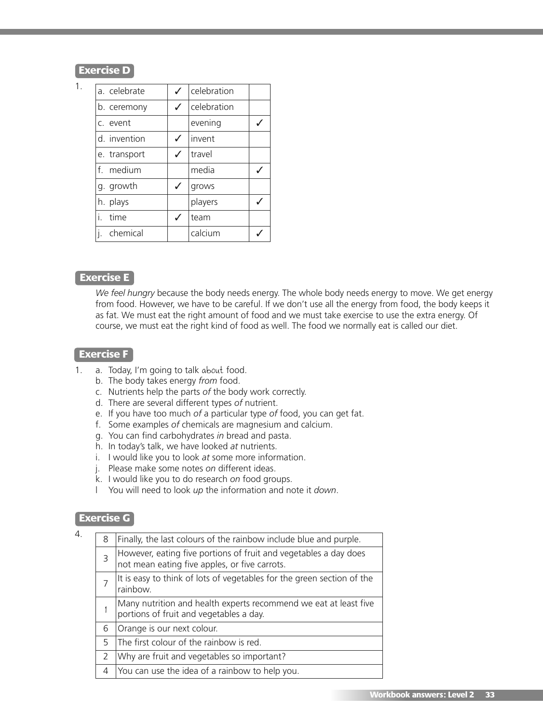1.

| a. celebrate |   | celebration   |  |
|--------------|---|---------------|--|
| b. ceremony  | ✓ | l celebration |  |
| c. event     |   | evening       |  |
| d. invention | ✓ | linvent       |  |
| e. transport | ✓ | travel        |  |
| f. medium    |   | media         |  |
| g. growth    | ✓ | grows         |  |
| h. plays     |   | players       |  |
| i.<br>time   | ✓ | team          |  |
| i. chemical  |   | calcium       |  |
|              |   |               |  |

### **Exercise E**

*We feel hungry* because the body needs energy. The whole body needs energy to move. We get energy from food. However, we have to be careful. If we don't use all the energy from food, the body keeps it as fat. We must eat the right amount of food and we must take exercise to use the extra energy. Of course, we must eat the right kind of food as well. The food we normally eat is called our diet.

### **Exercise F**

- 1. a. Today, I'm going to talk about food.
	- b. The body takes energy *from* food.
	- c. Nutrients help the parts *of* the body work correctly.
	- d. There are several different types *of* nutrient.
	- e. If you have too much *of* a particular type *of* food, you can get fat.
	- f. Some examples *of* chemicals are magnesium and calcium.
	- g. You can find carbohydrates *in* bread and pasta.
	- h. In today's talk, we have looked *at* nutrients.
	- i. I would like you to look *at* some more information.
	- j. Please make some notes *on* different ideas.
	- k. I would like you to do research *on* food groups.
	- l You will need to look *up* the information and note it *down*.

### **Exercise G**

| $\overline{4}$ . | 8              | Finally, the last colours of the rainbow include blue and purple.                                                 |
|------------------|----------------|-------------------------------------------------------------------------------------------------------------------|
|                  | $\overline{3}$ | However, eating five portions of fruit and vegetables a day does<br>not mean eating five apples, or five carrots. |
|                  |                | It is easy to think of lots of vegetables for the green section of the<br>rainbow.                                |
|                  |                | Many nutrition and health experts recommend we eat at least five<br>portions of fruit and vegetables a day.       |
|                  | 6              | Orange is our next colour.                                                                                        |
|                  | 5              | The first colour of the rainbow is red.                                                                           |
|                  | 2              | Why are fruit and vegetables so important?                                                                        |
|                  | 4              | You can use the idea of a rainbow to help you.                                                                    |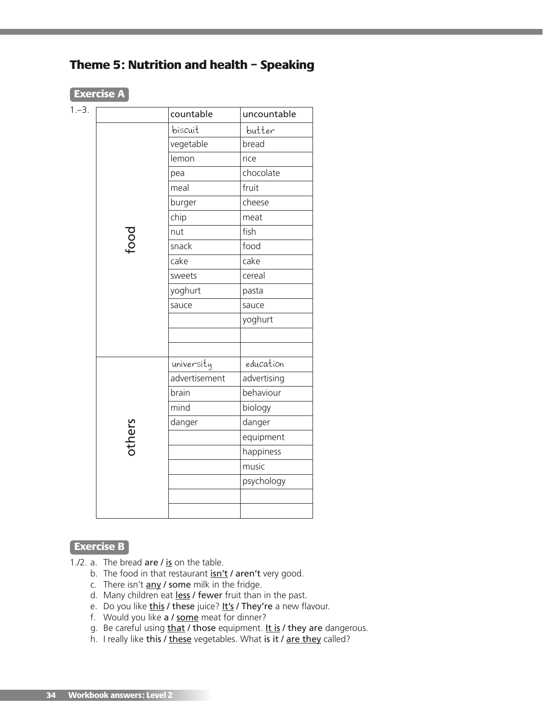

|        | countable     | uncountable |
|--------|---------------|-------------|
|        | biscuit       | butter      |
|        | vegetable     | bread       |
|        | lemon         | rice        |
|        | pea           | chocolate   |
|        | meal          | fruit       |
|        | burger        | cheese      |
|        | chip          | meat        |
| Food   | nut           | fish        |
|        | snack         | food        |
|        | cake          | cake        |
|        | sweets        | cereal      |
|        | yoghurt       | pasta       |
|        | sauce         | sauce       |
|        |               | yoghurt     |
|        |               |             |
|        |               |             |
|        | university    | education   |
|        | advertisement | advertising |
|        | brain         | behaviour   |
|        | mind          | biology     |
|        | danger        | danger      |
| others |               | equipment   |
|        |               | happiness   |
|        |               | music       |
|        |               | psychology  |
|        |               |             |

## **Exercise B**

- 1./2. a. The bread are  $\ell$  is on the table.
	- b. The food in that restaurant isn't / aren't very good.
	- c. There isn't  $\frac{any}{f}$  some milk in the fridge.
	- d. Many children eat less / fewer fruit than in the past.
	- e. Do you like this / these juice? It's / They're a new flavour.
	- f. Would you like a / some meat for dinner?
	- g. Be careful using that / those equipment. It is / they are dangerous.
	- h. I really like this / these vegetables. What is it / are they called?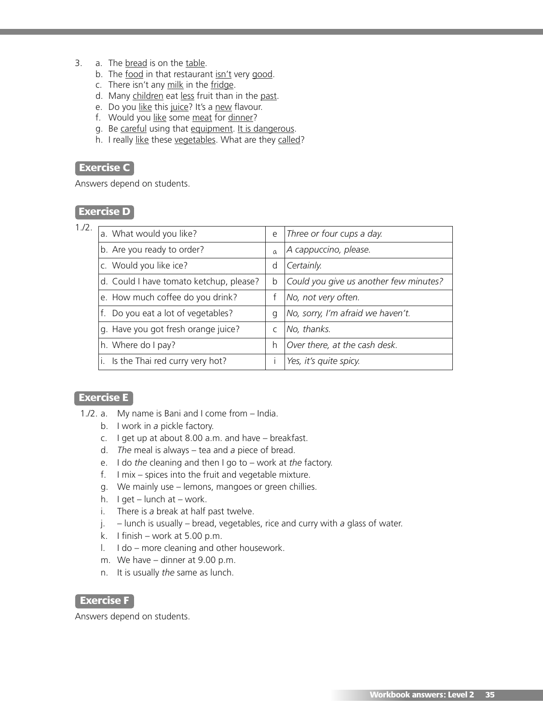- 3. a. The bread is on the table.
	- b. The food in that restaurant isn't very good.
	- c. There isn't any milk in the fridge.
	- d. Many children eat less fruit than in the past.
	- e. Do you like this juice? It's a new flavour.
	- f. Would you like some meat for dinner?
	- g. Be careful using that equipment. It is dangerous.
	- h. I really like these vegetables. What are they called?

## **Exercise C**

Answers depend on students.

### **Exercise D**

1./2.

| a. What would you like?                 | e            | Three or four cups a day.              |
|-----------------------------------------|--------------|----------------------------------------|
| b. Are you ready to order?              | $\Omega$     | A cappuccino, please.                  |
| c. Would you like ice?                  | d            | Certainly.                             |
| d. Could I have tomato ketchup, please? | b            | Could you give us another few minutes? |
| e. How much coffee do you drink?        |              | No, not very often.                    |
| f. Do you eat a lot of vegetables?      | q            | No, sorry, I'm afraid we haven't.      |
| g. Have you got fresh orange juice?     | $\mathsf{C}$ | No, thanks.                            |
| h. Where do I pay?                      | h            | Over there, at the cash desk.          |
| i. Is the Thai red curry very hot?      |              | Yes, it's quite spicy.                 |

### **Exercise E**

- 1./2. a. My name is Bani and I come from *–* India.
	- b. I work in *a* pickle factory.
	- c. I get up at about 8.00 a.m. and have *–* breakfast.
	- d. *The* meal is always *–* tea and *a* piece of bread.
	- e. I do *the* cleaning and then I go to *–* work at *the* factory.
	- f. I mix *–* spices into the fruit and vegetable mixture.
	- g. We mainly use *–* lemons, mangoes or green chillies.
	- h. I get *–* lunch at *–* work.
	- i. There is *a* break at half past twelve.
	- j. *–* lunch is usually *–* bread, vegetables, rice and curry with *a* glass of water.
	- k. I finish *–* work at 5.00 p.m.
	- l. I do *–* more cleaning and other housework.
	- m. We have *–* dinner at 9.00 p.m.
	- n. It is usually *the* same as lunch.

#### **Exercise F**

Answers depend on students.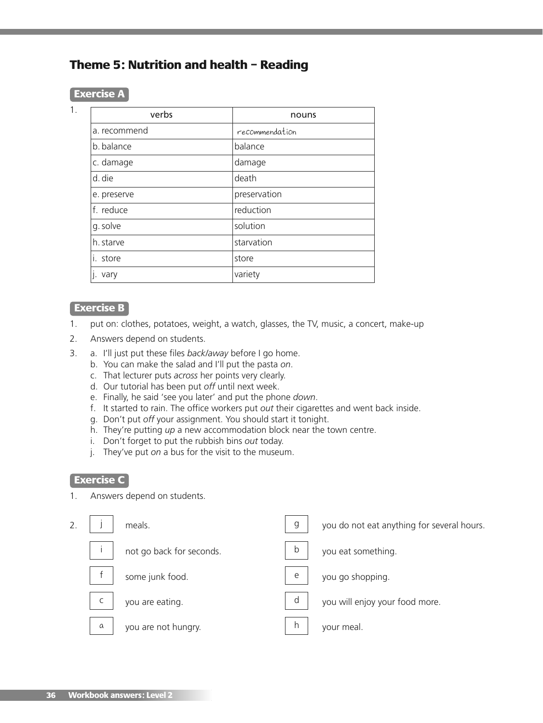# **Theme 5: Nutrition and health – Reading**

#### **Exercise A**

1.

| verbs        | nouns          |
|--------------|----------------|
| a. recommend | recommendation |
| b. balance   | balance        |
| c. damage    | damage         |
| d. die       | death          |
| e. preserve  | preservation   |
| f. reduce    | reduction      |
| g. solve     | solution       |
| h. starve    | starvation     |
| i. store     | store          |
| vary         | variety        |

### **Exercise B**

- 1. put on: clothes, potatoes, weight, a watch, glasses, the TV, music, a concert, make-up
- 2. Answers depend on students.
- 3. a. I'll just put these files *back/away* before I go home.
	- b. You can make the salad and I'll put the pasta *on*.
	- c. That lecturer puts *across* her points very clearly.
	- d. Our tutorial has been put *off* until next week.
	- e. Finally, he said 'see you later' and put the phone *down*.
	- f. It started to rain. The office workers put *out* their cigarettes and went back inside.
	- g. Don't put *off* your assignment. You should start it tonight.
	- h. They're putting *up* a new accommodation block near the town centre.
	- i. Don't forget to put the rubbish bins *out* today.
	- j. They've put *on* a bus for the visit to the museum.

## **Exercise C**

1. Answers depend on students.